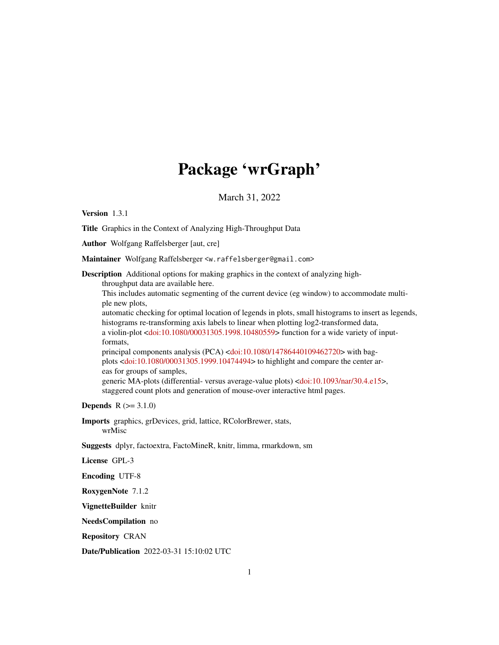# Package 'wrGraph'

March 31, 2022

<span id="page-0-0"></span>Version 1.3.1

Title Graphics in the Context of Analyzing High-Throughput Data

Author Wolfgang Raffelsberger [aut, cre]

Maintainer Wolfgang Raffelsberger <w.raffelsberger@gmail.com>

Description Additional options for making graphics in the context of analyzing high-

throughput data are available here.

This includes automatic segmenting of the current device (eg window) to accommodate multiple new plots,

automatic checking for optimal location of legends in plots, small histograms to insert as legends, histograms re-transforming axis labels to linear when plotting log2-transformed data, a violin-plot [<doi:10.1080/00031305.1998.10480559>](https://doi.org/10.1080/00031305.1998.10480559) function for a wide variety of inputformats,

principal components analysis (PCA) [<doi:10.1080/14786440109462720>](https://doi.org/10.1080/14786440109462720) with bagplots [<doi:10.1080/00031305.1999.10474494>](https://doi.org/10.1080/00031305.1999.10474494) to highlight and compare the center areas for groups of samples,

generic MA-plots (differential- versus average-value plots) [<doi:10.1093/nar/30.4.e15>](https://doi.org/10.1093/nar/30.4.e15), staggered count plots and generation of mouse-over interactive html pages.

**Depends**  $R (= 3.1.0)$ 

Imports graphics, grDevices, grid, lattice, RColorBrewer, stats, wrMisc

Suggests dplyr, factoextra, FactoMineR, knitr, limma, rmarkdown, sm

License GPL-3

Encoding UTF-8

RoxygenNote 7.1.2

VignetteBuilder knitr

NeedsCompilation no

Repository CRAN

Date/Publication 2022-03-31 15:10:02 UTC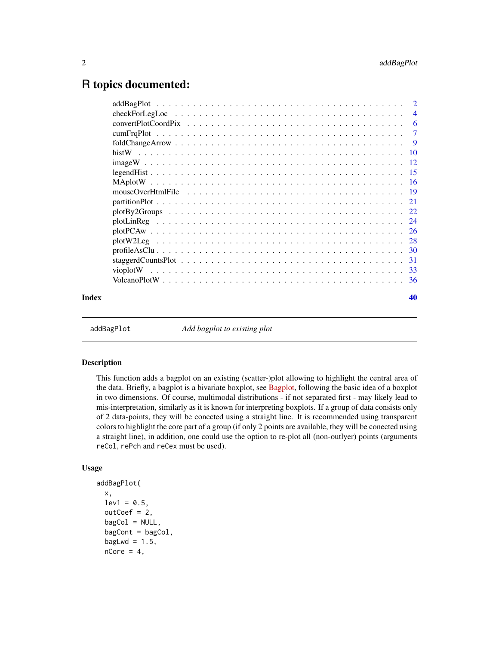# <span id="page-1-0"></span>R topics documented:

|       | -6             |
|-------|----------------|
|       | $\overline{7}$ |
|       |                |
|       |                |
|       |                |
|       |                |
|       |                |
|       |                |
|       |                |
|       |                |
|       |                |
|       |                |
|       |                |
|       |                |
|       |                |
|       |                |
|       |                |
| Index | 40             |
|       |                |

addBagPlot *Add bagplot to existing plot*

# Description

This function adds a bagplot on an existing (scatter-)plot allowing to highlight the central area of the data. Briefly, a bagplot is a bivariate boxplot, see [Bagplot,](https://en.wikipedia.org/wiki/Bagplot) following the basic idea of a boxplot in two dimensions. Of course, multimodal distributions - if not separated first - may likely lead to mis-interpretation, similarly as it is known for interpreting boxplots. If a group of data consists only of 2 data-points, they will be conected using a straight line. It is recommended using transparent colors to highlight the core part of a group (if only 2 points are available, they will be conected using a straight line), in addition, one could use the option to re-plot all (non-outlyer) points (arguments reCol, rePch and reCex must be used).

# Usage

```
addBagPlot(
  x,
  lev1 = 0.5,
  outCoef = 2,
 bagCol = NULL,bagCont = bagCol,bagLwd = 1.5,
 nCore = 4,
```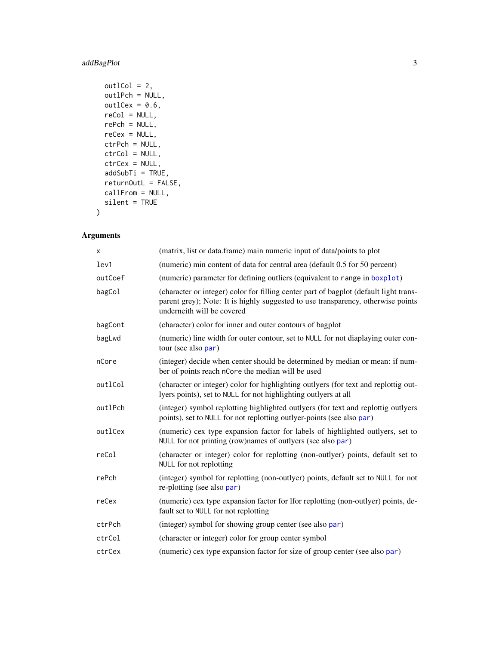# <span id="page-2-0"></span>addBagPlot 3

```
out1Col = 2,
outlPch = NULL,
outlex = 0.6,
reCol = NULL,
rePch = NULL,reCex = NULL,
ctrPch = NULL,
ctrCol = NULL,
ctrCex = NULL,
addSubTi = TRUE,returnOutL = FALSE,
callFrom = NULL,
silent = TRUE
```
# Arguments

)

| X       | (matrix, list or data.frame) main numeric input of data/points to plot                                                                                                                                  |
|---------|---------------------------------------------------------------------------------------------------------------------------------------------------------------------------------------------------------|
| lev1    | (numeric) min content of data for central area (default 0.5 for 50 percent)                                                                                                                             |
| outCoef | (numeric) parameter for defining outliers (equivalent to range in boxplot)                                                                                                                              |
| bagCol  | (character or integer) color for filling center part of bagplot (default light trans-<br>parent grey); Note: It is highly suggested to use transparency, otherwise points<br>underneith will be covered |
| bagCont | (character) color for inner and outer contours of bagplot                                                                                                                                               |
| bagLwd  | (numeric) line width for outer contour, set to NULL for not diaplaying outer con-<br>tour (see also par)                                                                                                |
| nCore   | (integer) decide when center should be determined by median or mean: if num-<br>ber of points reach nCore the median will be used                                                                       |
| outlCol | (character or integer) color for highlighting outlyers (for text and replottig out-<br>lyers points), set to NULL for not highlighting outlyers at all                                                  |
| outlPch | (integer) symbol replotting highlighted outlyers (for text and replottig outlyers<br>points), set to NULL for not replotting outly er-points (see also par)                                             |
| outlCex | (numeric) cex type expansion factor for labels of highlighted outlyers, set to<br>NULL for not printing (row)names of outlyers (see also par)                                                           |
| reCol   | (character or integer) color for replotting (non-outlyer) points, default set to<br>NULL for not replotting                                                                                             |
| rePch   | (integer) symbol for replotting (non-outlyer) points, default set to NULL for not<br>re-plotting (see also par)                                                                                         |
| reCex   | (numeric) cex type expansion factor for lfor replotting (non-outlyer) points, de-<br>fault set to NULL for not replotting                                                                               |
| ctrPch  | (integer) symbol for showing group center (see also par)                                                                                                                                                |
| ctrCol  | (character or integer) color for group center symbol                                                                                                                                                    |
| ctrCex  | (numeric) cex type expansion factor for size of group center (see also par)                                                                                                                             |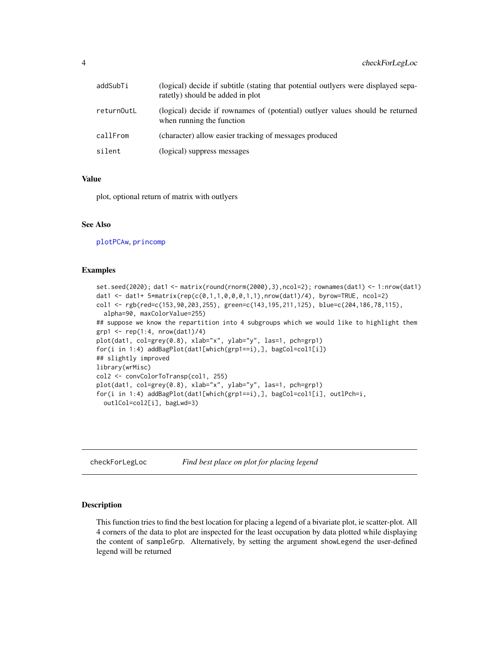<span id="page-3-0"></span>

| addSubTi   | (logical) decide if subtitle (stating that potential outlyers were displayed sepa-<br>ratetly) should be added in plot |
|------------|------------------------------------------------------------------------------------------------------------------------|
| returnOutL | (logical) decide if rownames of (potential) outlyer values should be returned<br>when running the function             |
| callFrom   | (character) allow easier tracking of messages produced                                                                 |
| silent     | (logical) suppress messages                                                                                            |

# Value

plot, optional return of matrix with outlyers

# See Also

[plotPCAw](#page-25-1), [princomp](#page-0-0)

#### Examples

```
set.seed(2020); dat1 <- matrix(round(rnorm(2000),3),ncol=2); rownames(dat1) <- 1:nrow(dat1)
dat1 <- dat1+ 5*matrix(rep(c(0,1,1,0,0,0,1,1),nrow(dat1)/4), byrow=TRUE, ncol=2)
col1 <- rgb(red=c(153,90,203,255), green=c(143,195,211,125), blue=c(204,186,78,115),
 alpha=90, maxColorValue=255)
## suppose we know the repartition into 4 subgroups which we would like to highlight them
grp1 \leftarrow rep(1:4, nrow(data1)/4)plot(dat1, col=grey(0.8), xlab="x", ylab="y", las=1, pch=grp1)
for(i in 1:4) addBagPlot(dat1[which(grp1==i),], bagCol=col1[i])
## slightly improved
library(wrMisc)
col2 <- convColorToTransp(col1, 255)
plot(dat1, col=grey(0.8), xlab="x", ylab="y", las=1, pch=grp1)
for(i in 1:4) addBagPlot(dat1[which(grp1==i),], bagCol=col1[i], outlPch=i,
 outlCol=col2[i], bagLwd=3)
```
checkForLegLoc *Find best place on plot for placing legend*

#### Description

This function tries to find the best location for placing a legend of a bivariate plot, ie scatter-plot. All 4 corners of the data to plot are inspected for the least occupation by data plotted while displaying the content of sampleGrp. Alternatively, by setting the argument showLegend the user-defined legend will be returned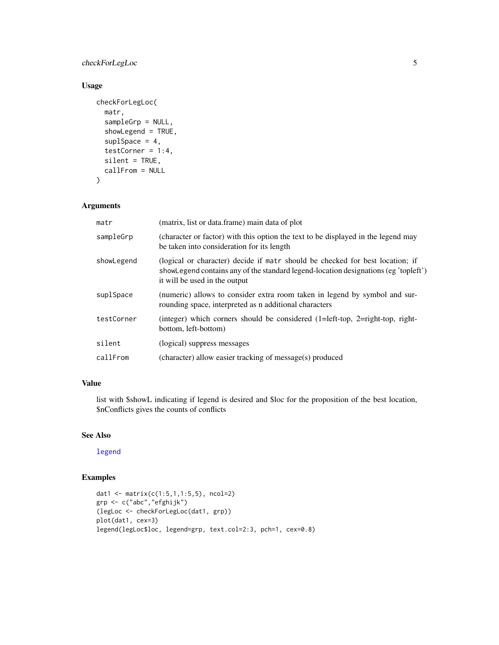# <span id="page-4-0"></span>checkForLegLoc 5

# Usage

```
checkForLegLoc(
 matr,
  sampleGrp = NULL,
  showLegend = TRUE,
  suplSpace = 4,
  testCorner = 1:4,
  silent = TRUE,
  callFrom = NULL
)
```
# Arguments

| matr       | (matrix, list or data.frame) main data of plot                                                                                                                                                        |
|------------|-------------------------------------------------------------------------------------------------------------------------------------------------------------------------------------------------------|
| sampleGrp  | (character or factor) with this option the text to be displayed in the legend may<br>be taken into consideration for its length                                                                       |
| showLegend | (logical or character) decide if matr should be checked for best location; if<br>showLegend contains any of the standard legend-location designations (eg 'topleft')<br>it will be used in the output |
| suplSpace  | (numeric) allows to consider extra room taken in legend by symbol and sur-<br>rounding space, interpreted as a additional characters                                                                  |
| testCorner | (integer) which corners should be considered $(1=left-top, 2=right-top, right-top)$<br>bottom, left-bottom)                                                                                           |
| silent     | (logical) suppress messages                                                                                                                                                                           |
| callFrom   | (character) allow easier tracking of message(s) produced                                                                                                                                              |

# Value

list with \$showL indicating if legend is desired and \$loc for the proposition of the best location, \$nConflicts gives the counts of conflicts

# See Also

[legend](#page-0-0)

# Examples

```
dat1 <- matrix(c(1:5,1,1:5,5), ncol=2)
grp <- c("abc","efghijk")
(legLoc <- checkForLegLoc(dat1, grp))
plot(dat1, cex=3)
legend(legLoc$loc, legend=grp, text.col=2:3, pch=1, cex=0.8)
```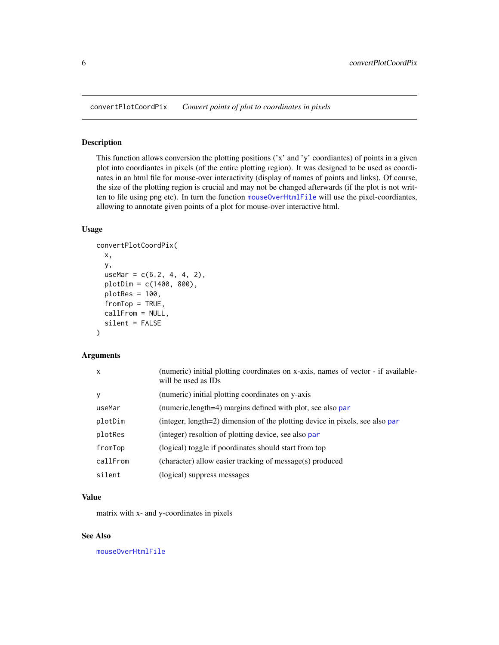<span id="page-5-1"></span><span id="page-5-0"></span>convertPlotCoordPix *Convert points of plot to coordinates in pixels*

# Description

This function allows conversion the plotting positions  $('x'$  and 'y' coordiantes) of points in a given plot into coordiantes in pixels (of the entire plotting region). It was designed to be used as coordinates in an html file for mouse-over interactivity (display of names of points and links). Of course, the size of the plotting region is crucial and may not be changed afterwards (if the plot is not written to file using png etc). In turn the function [mouseOverHtmlFile](#page-18-1) will use the pixel-coordiantes, allowing to annotate given points of a plot for mouse-over interactive html.

# Usage

```
convertPlotCoordPix(
  x,
  y,
  useMar = c(6.2, 4, 4, 2),
  plotDim = c(1400, 800),
  plotRes = 100,
  fromTop = TRUE,
  callFrom = NULL,
  silent = FALSE
)
```
# Arguments

| $\mathsf{x}$ | (numeric) initial plotting coordinates on x-axis, names of vector - if available-<br>will be used as IDs |
|--------------|----------------------------------------------------------------------------------------------------------|
| y            | (numeric) initial plotting coordinates on y-axis                                                         |
| useMar       | (numeric, length=4) margins defined with plot, see also par                                              |
| plotDim      | (integer, length=2) dimension of the plotting device in pixels, see also par                             |
| plotRes      | (integer) resoltion of plotting device, see also par                                                     |
| fromTop      | (logical) toggle if poordinates should start from top                                                    |
| callFrom     | (character) allow easier tracking of message(s) produced                                                 |
| silent       | (logical) suppress messages                                                                              |

## Value

matrix with x- and y-coordinates in pixels

# See Also

[mouseOverHtmlFile](#page-18-1)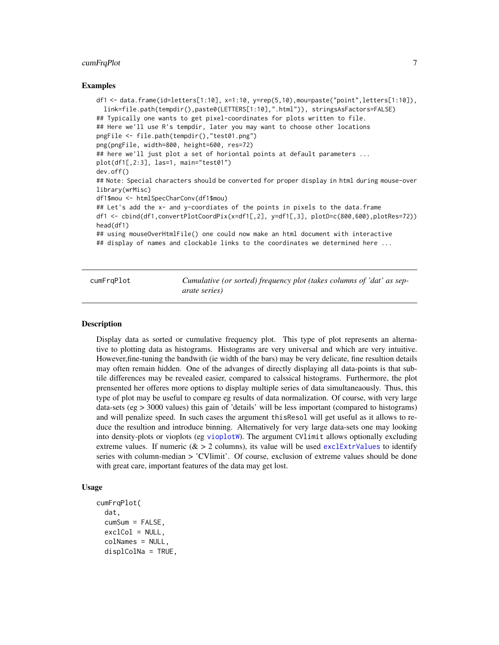#### <span id="page-6-0"></span>cumFrqPlot  $\sim$  7

#### Examples

```
df1 <- data.frame(id=letters[1:10], x=1:10, y=rep(5,10),mou=paste("point",letters[1:10]),
 link=file.path(tempdir(),paste0(LETTERS[1:10],".html")), stringsAsFactors=FALSE)
## Typically one wants to get pixel-coordinates for plots written to file.
## Here we'll use R's tempdir, later you may want to choose other locations
pngFile <- file.path(tempdir(),"test01.png")
png(pngFile, width=800, height=600, res=72)
## here we'll just plot a set of horiontal points at default parameters ...
plot(df1[,2:3], las=1, main="test01")
dev.off()
## Note: Special characters should be converted for proper display in html during mouse-over
library(wrMisc)
df1$mou <- htmlSpecCharConv(df1$mou)
## Let's add the x- and y-coordiates of the points in pixels to the data.frame
df1 <- cbind(df1,convertPlotCoordPix(x=df1[,2], y=df1[,3], plotD=c(800,600),plotRes=72))
head(df1)
## using mouseOverHtmlFile() one could now make an html document with interactive
## display of names and clockable links to the coordinates we determined here ...
```
cumFrqPlot *Cumulative (or sorted) frequency plot (takes columns of 'dat' as separate series)*

#### **Description**

Display data as sorted or cumulative frequency plot. This type of plot represents an alternative to plotting data as histograms. Histograms are very universal and which are very intuitive. However,fine-tuning the bandwith (ie width of the bars) may be very delicate, fine resultion details may often remain hidden. One of the advanges of directly displaying all data-points is that subtile differences may be revealed easier, compared to calssical histograms. Furthermore, the plot prensented her offeres more options to display multiple series of data simultaneaously. Thus, this type of plot may be useful to compare eg results of data normalization. Of course, with very large data-sets (eg > 3000 values) this gain of 'details' will be less important (compared to histograms) and will penalize speed. In such cases the argument thisResol will get useful as it allows to reduce the resultion and introduce binning. Alternatively for very large data-sets one may looking into density-plots or vioplots (eg [vioplotW](#page-32-1)). The argument CVlimit allows optionally excluding extreme values. If numeric ( $\&$  > 2 columns), its value will be used [exclExtrValues](#page-0-0) to identify series with column-median > 'CVlimit'. Of course, exclusion of extreme values should be done with great care, important features of the data may get lost.

# Usage

```
cumFrqPlot(
  dat,
  cumSum = FALSE,
  exclCol = NULL,colNames = NULL,
  displColNa = TRUE,
```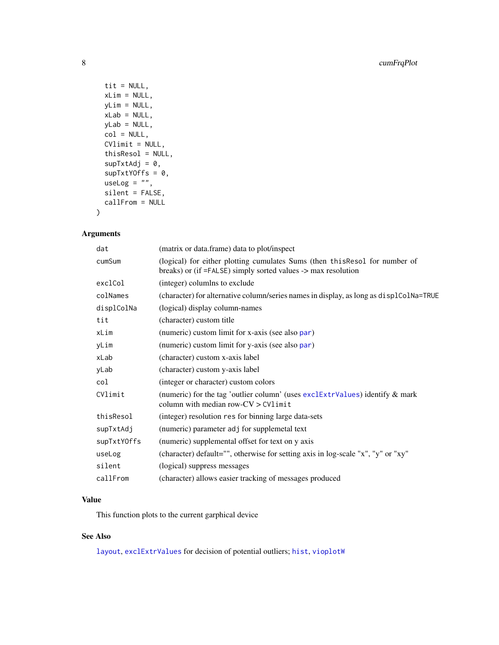```
tit = NULL,xLim = NULL,yLim = NULL,xLab = NULL,
 yLab = NULL,col = NULL,CVlimit = NULL,
 thisResol = NULL,
 supTxtAdj = 0,supTxtYOffs = 0,
 useLog = ",
 silent = FALSE,
 callFrom = NULL
)
```
# Arguments

| dat         | (matrix or data.frame) data to plot/inspect                                                                                                  |
|-------------|----------------------------------------------------------------------------------------------------------------------------------------------|
| cumSum      | (logical) for either plotting cumulates Sums (then this Resol for number of<br>breaks) or (if =FALSE) simply sorted values -> max resolution |
| exclCol     | (integer) columlns to exclude                                                                                                                |
| colNames    | (character) for alternative column/series names in display, as long as displaced Na=TRUE                                                     |
| displColNa  | (logical) display column-names                                                                                                               |
| tit         | (character) custom title                                                                                                                     |
| xLim        | (numeric) custom limit for x-axis (see also par)                                                                                             |
| yLim        | (numeric) custom limit for y-axis (see also par)                                                                                             |
| xLab        | (character) custom x-axis label                                                                                                              |
| yLab        | (character) custom y-axis label                                                                                                              |
| col         | (integer or character) custom colors                                                                                                         |
| CVlimit     | (numeric) for the tag 'outlier column' (uses $exclExtrValues$ ) identify $\&$ mark<br>column with median row-CV > CVlimit                    |
| thisResol   | (integer) resolution res for binning large data-sets                                                                                         |
| supTxtAdj   | (numeric) parameter adj for supplemetal text                                                                                                 |
| supTxtYOffs | (numeric) supplemental offset for text on y axis                                                                                             |
| useLog      | (character) default="", otherwise for setting axis in log-scale "x", "y" or "xy"                                                             |
| silent      | (logical) suppress messages                                                                                                                  |
| callFrom    | (character) allows easier tracking of messages produced                                                                                      |

# Value

This function plots to the current garphical device

# See Also

[layout](#page-0-0), [exclExtrValues](#page-0-0) for decision of potential outliers; [hist](#page-0-0), [vioplotW](#page-32-1)

<span id="page-7-0"></span>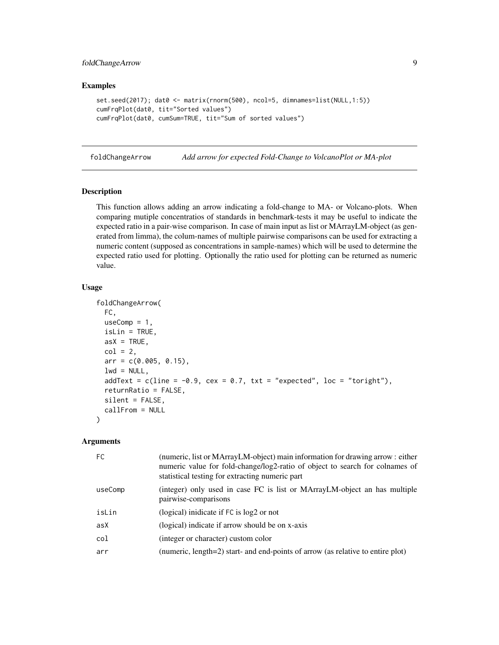# <span id="page-8-0"></span>foldChangeArrow 9

#### Examples

```
set.seed(2017); dat0 <- matrix(rnorm(500), ncol=5, dimnames=list(NULL,1:5))
cumFrqPlot(dat0, tit="Sorted values")
cumFrqPlot(dat0, cumSum=TRUE, tit="Sum of sorted values")
```
foldChangeArrow *Add arrow for expected Fold-Change to VolcanoPlot or MA-plot*

# Description

This function allows adding an arrow indicating a fold-change to MA- or Volcano-plots. When comparing mutiple concentratios of standards in benchmark-tests it may be useful to indicate the expected ratio in a pair-wise comparison. In case of main input as list or MArrayLM-object (as generated from limma), the colum-names of multiple pairwise comparisons can be used for extracting a numeric content (supposed as concentrations in sample-names) which will be used to determine the expected ratio used for plotting. Optionally the ratio used for plotting can be returned as numeric value.

#### Usage

```
foldChangeArrow(
  FC,
  useComp = 1,isLin = TRUE,
  asX = TRUE,col = 2,
  arr = c(0.005, 0.15),
  lwd = NULL,addText = c(line = -0.9, cex = 0.7, txt = "expected", loc = "toright"),returnRatio = FALSE,
  silent = FALSE.callFrom = NULL
)
```

| (numeric, list or MArrayLM-object) main information for drawing arrow: either<br>numeric value for fold-change/log2-ratio of object to search for colnames of<br>statistical testing for extracting numeric part |
|------------------------------------------------------------------------------------------------------------------------------------------------------------------------------------------------------------------|
| (integer) only used in case FC is list or MArrayLM-object an has multiple<br>pairwise-comparisons                                                                                                                |
| (logical) inidicate if FC is log2 or not                                                                                                                                                                         |
| (logical) indicate if arrow should be on x-axis                                                                                                                                                                  |
| (integer or character) custom color                                                                                                                                                                              |
| (numeric, length=2) start- and end-points of arrow (as relative to entire plot)                                                                                                                                  |
|                                                                                                                                                                                                                  |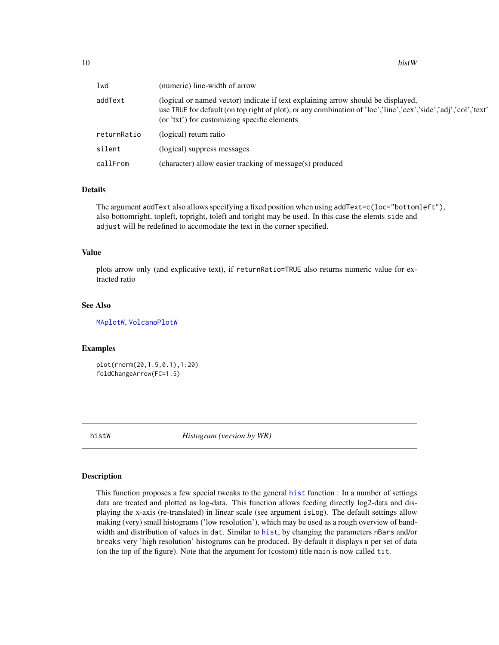<span id="page-9-0"></span>

| lwd         | (numeric) line-width of arrow                                                                                                                                                                                                                       |
|-------------|-----------------------------------------------------------------------------------------------------------------------------------------------------------------------------------------------------------------------------------------------------|
| addText     | (logical or named vector) indicate if text explaining arrow should be displayed,<br>use TRUE for default (on top right of plot), or any combination of 'loc','line','cex','side','adj','col','text'<br>(or 'txt') for customizing specific elements |
| returnRatio | (logical) return ratio                                                                                                                                                                                                                              |
| silent      | (logical) suppress messages                                                                                                                                                                                                                         |
| callFrom    | (character) allow easier tracking of message(s) produced                                                                                                                                                                                            |

# Details

The argument addText also allows specifying a fixed position when using addText=c(loc="bottomleft"), also bottomright, topleft, topright, toleft and toright may be used. In this case the elemts side and adjust will be redefined to accomodate the text in the corner specified.

#### Value

plots arrow only (and explicative text), if returnRatio=TRUE also returns numeric value for extracted ratio

#### See Also

[MAplotW](#page-15-1), [VolcanoPlotW](#page-35-1)

# Examples

plot(rnorm(20,1.5,0.1),1:20) foldChangeArrow(FC=1.5)

histW *Histogram (version by WR)*

#### Description

This function proposes a few special tweaks to the general [hist](#page-0-0) function : In a number of settings data are treated and plotted as log-data. This function allows feeding directly log2-data and displaying the x-axis (re-translated) in linear scale (see argument isLog). The default settings allow making (very) small histograms ('low resolution'), which may be used as a rough overview of bandwidth and distribution of values in dat. Similar to [hist](#page-0-0), by changing the parameters nBars and/or breaks very 'high resolution' histograms can be produced. By default it displays n per set of data (on the top of the figure). Note that the argument for (costom) title main is now called tit.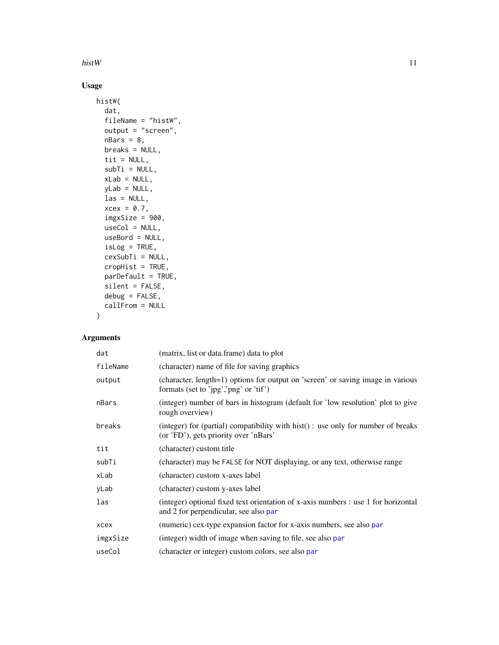<span id="page-10-0"></span>histW and the contract of the contract of the contract of the contract of the contract of the contract of the contract of the contract of the contract of the contract of the contract of the contract of the contract of the

# Usage

```
histW(
  dat,
  fileName = "histW",
  output = "screen",
  nBars = 8,
  breaks = NULL,
  tit = NULL,
  subTi = NULL,xLab = NULL,
  yLab = NULL,
  \text{las} = \text{NULL},
  xcex = 0.7,
  imgxSize = 900,
  useCol = NULL,useBord = NULL,
  isLog = TRUE,cexSubTi = NULL,
  cropHist = TRUE,
  parDefault = TRUE,
  silent = FALSE,
  debug = FALSE,
  callFrom = NULL
)
```

| dat      | (matrix, list or data.frame) data to plot                                                                                     |
|----------|-------------------------------------------------------------------------------------------------------------------------------|
| fileName | (character) name of file for saving graphics                                                                                  |
| output   | (character, length=1) options for output on 'screen' or saving image in various<br>formats (set to 'jpg','png' or 'tif')      |
| nBars    | (integer) number of bars in histogram (default for 'low resolution' plot to give<br>rough overview)                           |
| breaks   | (integer) for (partial) compatibility with hist $()$ : use only for number of breaks<br>(or 'FD'), gets priority over 'nBars' |
| tit      | (character) custom title                                                                                                      |
| subTi    | (character) may be FALSE for NOT displaying, or any text, otherwise range                                                     |
| xLab     | (character) custom x-axes label                                                                                               |
| yLab     | (character) custom y-axes label                                                                                               |
| las      | (integer) optional fixed text orientation of x-axis numbers : use 1 for horizontal<br>and 2 for perpendicular, see also par   |
| xcex     | (numeric) cex-type expansion factor for x-axis numbers, see also par                                                          |
| imgxSize | (integer) width of image when saving to file, see also par                                                                    |
| useCol   | (character or integer) custom colors, see also par                                                                            |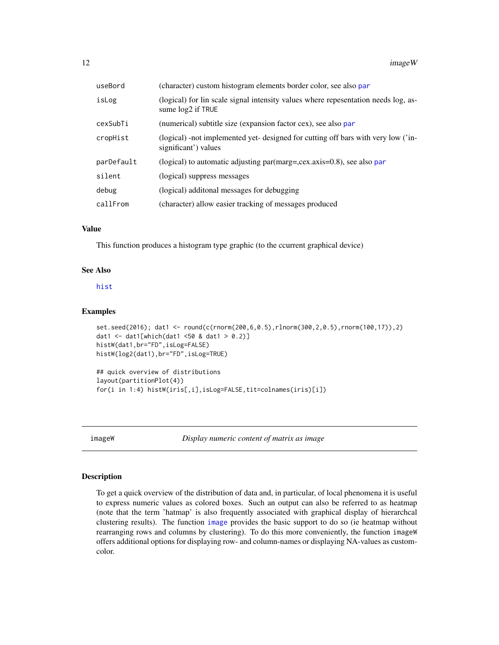<span id="page-11-0"></span>12 imageW imageW imageW imageW imageW imageW imageW imageW

| useBord    | (character) custom histogram elements border color, see also par                                          |
|------------|-----------------------------------------------------------------------------------------------------------|
| isLog      | (logical) for lin scale signal intensity values where repesentation needs log, as-<br>sume $log2$ if TRUE |
| cexSubTi   | (numerical) subtitle size (expansion factor cex), see also par                                            |
| cropHist   | (logical) -not implemented yet- designed for cutting off bars with very low ('in-<br>significant') values |
| parDefault | (logical) to automatic adjusting par(marg=,cex.axis= $0.8$ ), see also par                                |
| silent     | (logical) suppress messages                                                                               |
| debug      | (logical) additional messages for debugging                                                               |
| callFrom   | (character) allow easier tracking of messages produced                                                    |

# Value

This function produces a histogram type graphic (to the ccurrent graphical device)

#### See Also

# [hist](#page-0-0)

#### Examples

```
set.seed(2016); dat1 <- round(c(rnorm(200,6,0.5),rlnorm(300,2,0.5),rnorm(100,17)),2)
dat1 <- dat1[which(dat1 <50 & dat1 > 0.2)]
histW(dat1,br="FD",isLog=FALSE)
histW(log2(dat1),br="FD",isLog=TRUE)
## quick overview of distributions
```
layout(partitionPlot(4)) for(i in 1:4) histW(iris[,i],isLog=FALSE,tit=colnames(iris)[i])

imageW *Display numeric content of matrix as image*

#### Description

To get a quick overview of the distribution of data and, in particular, of local phenomena it is useful to express numeric values as colored boxes. Such an output can also be referred to as heatmap (note that the term 'hatmap' is also frequently associated with graphical display of hierarchcal clustering results). The function [image](#page-0-0) provides the basic support to do so (ie heatmap without rearranging rows and columns by clustering). To do this more conveniently, the function imageW offers additional options for displaying row- and column-names or displaying NA-values as customcolor.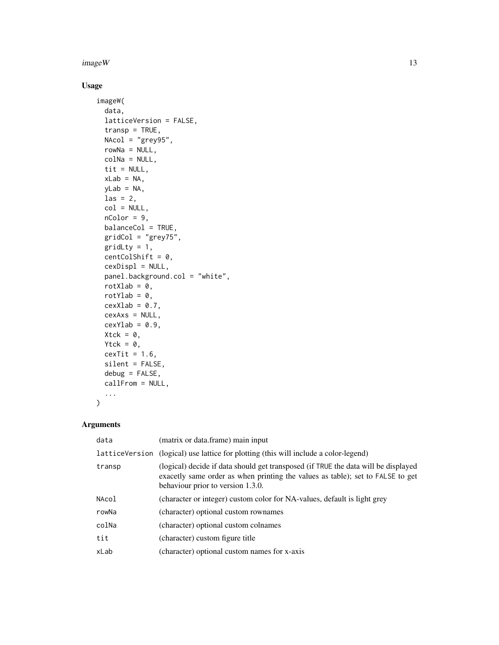## $imageW$  and  $13$

# Usage

```
imageW(
  data,
  latticeVersion = FALSE,
  transp = TRUE,
 NACol = "grey95",rowNa = NULL,
  colNa = NULL,
  tit = NULL,xLab = NA,
 yLab = NA,
 \text{las} = 2,
 col = NULL,nColor = 9,
 balanceCol = TRUE,
  gridCol = "grey75",
 gridLty = 1,
 centColShift = 0,cexDispl = NULL,panel.background.col = "white",
  rotXlab = 0,
  rotYlab = 0,
  cexXlab = 0.7,
  cexAxs = NULL,
  cexYlab = 0.9,
 Xtck = 0,
 Ytck = \theta,
 cexTit = 1.6,
 silent = FALSE,
  debug = FALSE,callFrom = NULL,
  ...
\mathcal{L}
```

| data           | (matrix or data.frame) main input                                                                                                                                                                         |
|----------------|-----------------------------------------------------------------------------------------------------------------------------------------------------------------------------------------------------------|
| latticeVersion | (logical) use lattice for plotting (this will include a color-legend)                                                                                                                                     |
| transp         | (logical) decide if data should get transposed (if TRUE the data will be displayed<br>exacetly same order as when printing the values as table); set to FALSE to get<br>behaviour prior to version 1.3.0. |
| NAcol          | (character or integer) custom color for NA-values, default is light grey                                                                                                                                  |
| rowNa          | (character) optional custom rownames                                                                                                                                                                      |
| colNa          | (character) optional custom colnames                                                                                                                                                                      |
| tit            | (character) custom figure title                                                                                                                                                                           |
| xLab           | (character) optional custom names for x-axis                                                                                                                                                              |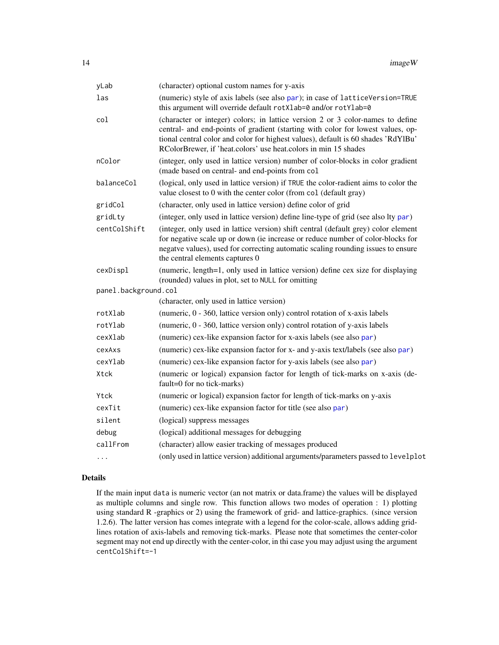<span id="page-13-0"></span>

| yLab                 | (character) optional custom names for y-axis                                                                                                                                                                                                                                                                              |
|----------------------|---------------------------------------------------------------------------------------------------------------------------------------------------------------------------------------------------------------------------------------------------------------------------------------------------------------------------|
| las                  | (numeric) style of axis labels (see also par); in case of latticeVersion=TRUE<br>this argument will override default rotXlab=0 and/or rotYlab=0                                                                                                                                                                           |
| col                  | (character or integer) colors; in lattice version 2 or 3 color-names to define<br>central- and end-points of gradient (starting with color for lowest values, op-<br>tional central color and color for highest values), default is 60 shades 'RdYlBu'<br>RColorBrewer, if 'heat.colors' use heat.colors in min 15 shades |
| nColor               | (integer, only used in lattice version) number of color-blocks in color gradient<br>(made based on central- and end-points from col                                                                                                                                                                                       |
| balanceCol           | (logical, only used in lattice version) if TRUE the color-radient aims to color the<br>value closest to 0 with the center color (from col (default gray)                                                                                                                                                                  |
| gridCol              | (character, only used in lattice version) define color of grid                                                                                                                                                                                                                                                            |
| gridLty              | (integer, only used in lattice version) define line-type of grid (see also lty par)                                                                                                                                                                                                                                       |
| centColShift         | (integer, only used in lattice version) shift central (default grey) color element<br>for negative scale up or down (ie increase or reduce number of color-blocks for<br>negatve values), used for correcting automatic scaling rounding issues to ensure<br>the central elements captures 0                              |
| cexDispl             | (numeric, length=1, only used in lattice version) define cex size for displaying<br>(rounded) values in plot, set to NULL for omitting                                                                                                                                                                                    |
| panel.background.col |                                                                                                                                                                                                                                                                                                                           |
|                      | (character, only used in lattice version)                                                                                                                                                                                                                                                                                 |
| rotXlab              | (numeric, 0 - 360, lattice version only) control rotation of x-axis labels                                                                                                                                                                                                                                                |
| rotYlab              | (numeric, 0 - 360, lattice version only) control rotation of y-axis labels                                                                                                                                                                                                                                                |
| cexXlab              | (numeric) cex-like expansion factor for x-axis labels (see also par)                                                                                                                                                                                                                                                      |
| cexAxs               | (numeric) cex-like expansion factor for x- and y-axis text/labels (see also par)                                                                                                                                                                                                                                          |
| cexYlab              | (numeric) cex-like expansion factor for y-axis labels (see also par)                                                                                                                                                                                                                                                      |
| Xtck                 | (numeric or logical) expansion factor for length of tick-marks on x-axis (de-<br>fault=0 for no tick-marks)                                                                                                                                                                                                               |
| Ytck                 | (numeric or logical) expansion factor for length of tick-marks on y-axis                                                                                                                                                                                                                                                  |
| cexTit               | (numeric) cex-like expansion factor for title (see also par)                                                                                                                                                                                                                                                              |
| silent               | (logical) suppress messages                                                                                                                                                                                                                                                                                               |
| debug                | (logical) additional messages for debugging                                                                                                                                                                                                                                                                               |
| callFrom             | (character) allow easier tracking of messages produced                                                                                                                                                                                                                                                                    |
| $\cdots$             | (only used in lattice version) additional arguments/parameters passed to levelplot                                                                                                                                                                                                                                        |

# Details

If the main input data is numeric vector (an not matrix or data.frame) the values will be displayed as multiple columns and single row. This function allows two modes of operation : 1) plotting using standard R -graphics or 2) using the framework of grid- and lattice-graphics. (since version 1.2.6). The latter version has comes integrate with a legend for the color-scale, allows adding gridlines rotation of axis-labels and removing tick-marks. Please note that sometimes the center-color segment may not end up directly with the center-color, in thi case you may adjust using the argument centColShift=-1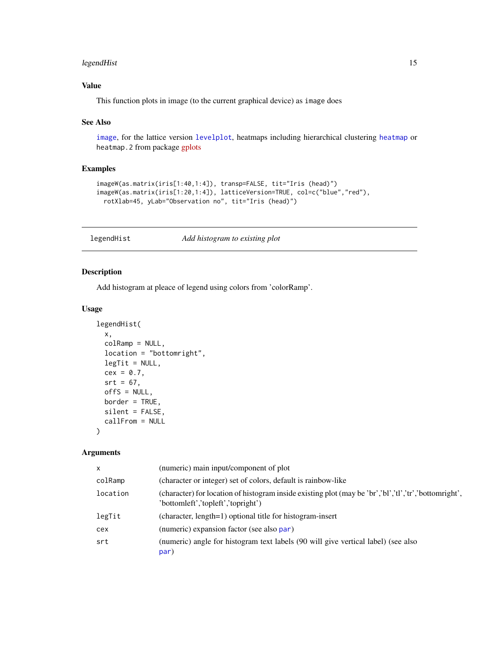# <span id="page-14-0"></span>legendHist 15

# Value

This function plots in image (to the current graphical device) as image does

#### See Also

[image](#page-0-0), for the lattice version [levelplot](#page-0-0), heatmaps including hierarchical clustering [heatmap](#page-0-0) or heatmap.2 from package [gplots](https://CRAN.R-project.org/package=gplots)

# Examples

```
imageW(as.matrix(iris[1:40,1:4]), transp=FALSE, tit="Iris (head)")
imageW(as.matrix(iris[1:20,1:4]), latticeVersion=TRUE, col=c("blue","red"),
 rotXlab=45, yLab="Observation no", tit="Iris (head)")
```
legendHist *Add histogram to existing plot*

# Description

Add histogram at pleace of legend using colors from 'colorRamp'.

# Usage

```
legendHist(
 x,
 colRamp = NULL,
 location = "bottomright",
 legTit = NULL,cex = 0.7,
  srt = 67,
 offs = NULL,border = TRUE,silent = FALSE,
  callFrom = NULL
)
```

| $\mathsf{x}$ | (numeric) main input/component of plot                                                                                                      |
|--------------|---------------------------------------------------------------------------------------------------------------------------------------------|
| colRamp      | (character or integer) set of colors, default is rainbow-like                                                                               |
| location     | (character) for location of histogram inside existing plot (may be 'br','bl','tl','tr','bottomright',<br>'bottomleft','topleft','topright') |
| legTit       | (character, length=1) optional title for histogram-insert                                                                                   |
| cex          | (numeric) expansion factor (see also par)                                                                                                   |
| srt          | (numeric) angle for histogram text labels (90 will give vertical label) (see also<br>par)                                                   |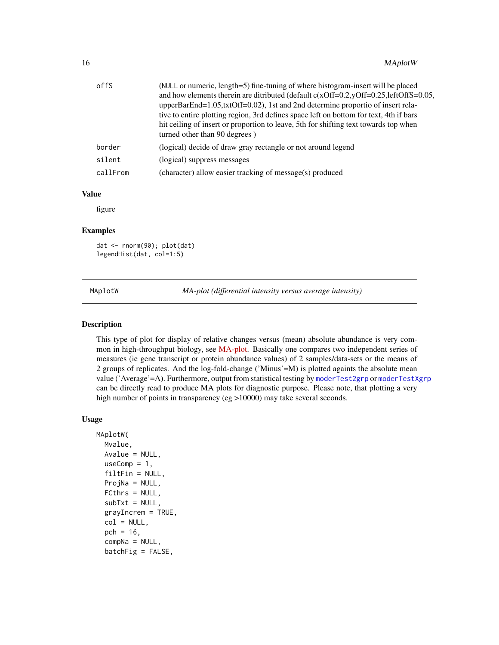<span id="page-15-0"></span>

| offS     | (NULL or numeric, length=5) fine-tuning of where histogram-insert will be placed         |
|----------|------------------------------------------------------------------------------------------|
|          | and how elements therein are ditributed (default $c(xOff=0.2, yOff=0.25, leftOffS=0.05,$ |
|          | upperBarEnd=1.05,txtOff=0.02), 1st and 2nd determine proportio of insert rela-           |
|          | tive to entire plotting region, 3rd defines space left on bottom for text, 4th if bars   |
|          | hit ceiling of insert or proportion to leave, 5th for shifting text towards top when     |
|          | turned other than 90 degrees)                                                            |
| border   | (logical) decide of draw gray rectangle or not around legend                             |
| silent   | (logical) suppress messages                                                              |
| callFrom | (character) allow easier tracking of message(s) produced                                 |

# Value

figure

#### Examples

dat <- rnorm(90); plot(dat) legendHist(dat, col=1:5)

<span id="page-15-1"></span>MAplotW *MA-plot (differential intensity versus average intensity)*

#### Description

This type of plot for display of relative changes versus (mean) absolute abundance is very common in high-throughput biology, see [MA-plot.](https://en.wikipedia.org/wiki/MA_plot) Basically one compares two independent series of measures (ie gene transcript or protein abundance values) of 2 samples/data-sets or the means of 2 groups of replicates. And the log-fold-change ('Minus'=M) is plotted againts the absolute mean value ('Average'=A). Furthermore, output from statistical testing by [moderTest2grp](#page-0-0) or [moderTestXgrp](#page-0-0) can be directly read to produce MA plots for diagnostic purpose. Please note, that plotting a very high number of points in transparency (eg >10000) may take several seconds.

#### Usage

```
MAplotW(
  Mvalue,
  Avalue = NULL,
  useComp = 1,filtFin = NULL,
  ProjNa = NULL,
  FCthrs = NULL,
  subTxt = NULL,grayIncrem = TRUE,
  col = NULL,pch = 16,
  compNa = NULL,
  batchFig = FALSE,
```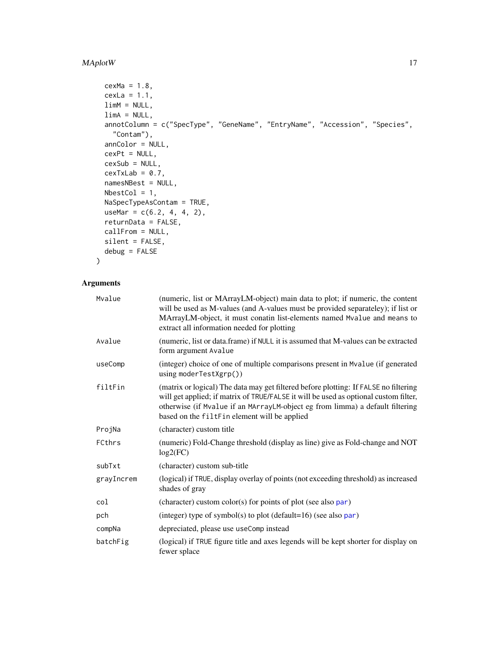# <span id="page-16-0"></span>MAplotW 17

```
cexMa = 1.8,
 cexLa = 1.1,limM = NULL,limA = NULL,
 annotColumn = c("SpecType", "GeneName", "EntryName", "Accession", "Species",
    "Contam"),
 annColor = NULL,
 cexPt = NULL,cexSub = NULL,
 cexTxLab = 0.7,
 namesNBest = NULL,
 NbestCol = 1,NaSpecTypeAsContam = TRUE,
 useMar = c(6.2, 4, 4, 2),returnData = FALSE,
 callFrom = NULL,
 silent = FALSE,
 debug = FALSE
\mathcal{L}
```

| Mvalue     | (numeric, list or MArrayLM-object) main data to plot; if numeric, the content<br>will be used as M-values (and A-values must be provided separateley); if list or<br>MArrayLM-object, it must conatin list-elements named Mvalue and means to<br>extract all information needed for plotting                  |
|------------|---------------------------------------------------------------------------------------------------------------------------------------------------------------------------------------------------------------------------------------------------------------------------------------------------------------|
| Avalue     | (numeric, list or data.frame) if NULL it is assumed that M-values can be extracted<br>form argument Avalue                                                                                                                                                                                                    |
| useComp    | (integer) choice of one of multiple comparisons present in Mvalue (if generated<br>using moderTestXgrp())                                                                                                                                                                                                     |
| filtFin    | (matrix or logical) The data may get filtered before plotting: If FALSE no filtering<br>will get applied; if matrix of TRUE/FALSE it will be used as optional custom filter,<br>otherwise (if Mvalue if an MArrayLM-object eg from limma) a default filtering<br>based on the filtFin element will be applied |
| ProjNa     | (character) custom title                                                                                                                                                                                                                                                                                      |
| FCthrs     | (numeric) Fold-Change threshold (display as line) give as Fold-change and NOT<br>log2(FC)                                                                                                                                                                                                                     |
| subTxt     | (character) custom sub-title                                                                                                                                                                                                                                                                                  |
| grayIncrem | (logical) if TRUE, display overlay of points (not exceeding threshold) as increased<br>shades of gray                                                                                                                                                                                                         |
| col        | (character) custom color(s) for points of plot (see also $par$ )                                                                                                                                                                                                                                              |
| pch        | (integer) type of symbol(s) to plot (default=16) (see also $par$ )                                                                                                                                                                                                                                            |
| compNa     | depreciated, please use useComp instead                                                                                                                                                                                                                                                                       |
| batchFig   | (logical) if TRUE figure title and axes legends will be kept shorter for display on<br>fewer splace                                                                                                                                                                                                           |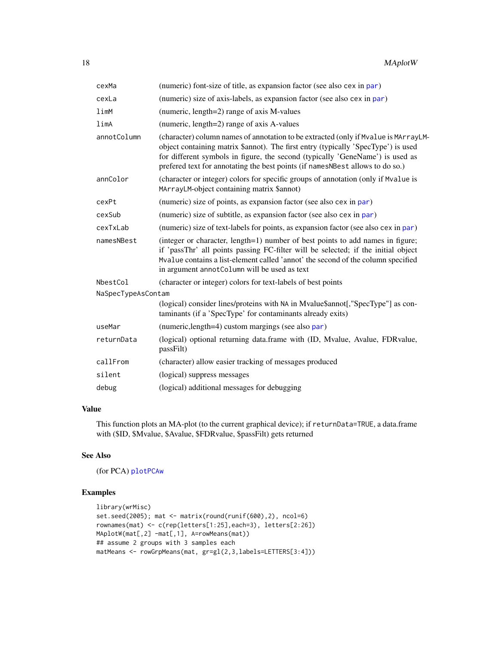<span id="page-17-0"></span>

| cexMa              | (numeric) font-size of title, as expansion factor (see also cex in par)                                                                                                                                                                                                                                                                    |
|--------------------|--------------------------------------------------------------------------------------------------------------------------------------------------------------------------------------------------------------------------------------------------------------------------------------------------------------------------------------------|
| cexLa              | (numeric) size of axis-labels, as expansion factor (see also cex in par)                                                                                                                                                                                                                                                                   |
| limM               | (numeric, length=2) range of axis M-values                                                                                                                                                                                                                                                                                                 |
| limA               | (numeric, length=2) range of axis A-values                                                                                                                                                                                                                                                                                                 |
| annotColumn        | (character) column names of annotation to be extracted (only if Mvalue is MArrayLM-<br>object containing matrix \$annot). The first entry (typically 'SpecType') is used<br>for different symbols in figure, the second (typically 'GeneName') is used as<br>prefered text for annotating the best points (if namesNBest allows to do so.) |
| annColor           | (character or integer) colors for specific groups of annotation (only if Mvalue is<br>MArrayLM-object containing matrix \$annot)                                                                                                                                                                                                           |
| cexPt              | (numeric) size of points, as expansion factor (see also cex in par)                                                                                                                                                                                                                                                                        |
| cexSub             | (numeric) size of subtitle, as expansion factor (see also cex in par)                                                                                                                                                                                                                                                                      |
| cexTxLab           | (numeric) size of text-labels for points, as expansion factor (see also cex in par)                                                                                                                                                                                                                                                        |
| namesNBest         | (integer or character, length=1) number of best points to add names in figure;<br>if 'passThr' all points passing FC-filter will be selected; if the initial object<br>Mvalue contains a list-element called 'annot' the second of the column specified<br>in argument annotColumn will be used as text                                    |
| NbestCol           | (character or integer) colors for text-labels of best points                                                                                                                                                                                                                                                                               |
| NaSpecTypeAsContam |                                                                                                                                                                                                                                                                                                                                            |
|                    | (logical) consider lines/proteins with NA in Mvalue\$annot[,"SpecType"] as con-<br>taminants (if a 'SpecType' for contaminants already exits)                                                                                                                                                                                              |
| useMar             | (numeric, length=4) custom margings (see also par)                                                                                                                                                                                                                                                                                         |
| returnData         | (logical) optional returning data.frame with (ID, Mvalue, Avalue, FDRvalue,<br>passFilt)                                                                                                                                                                                                                                                   |
| callFrom           | (character) allow easier tracking of messages produced                                                                                                                                                                                                                                                                                     |
| silent             | (logical) suppress messages                                                                                                                                                                                                                                                                                                                |
| debug              | (logical) additional messages for debugging                                                                                                                                                                                                                                                                                                |

# Value

This function plots an MA-plot (to the current graphical device); if returnData=TRUE, a data.frame with (\$ID, \$Mvalue, \$Avalue, \$FDRvalue, \$passFilt) gets returned

#### See Also

(for PCA) [plotPCAw](#page-25-1)

# Examples

```
library(wrMisc)
set.seed(2005); mat <- matrix(round(runif(600),2), ncol=6)
rownames(mat) <- c(rep(letters[1:25],each=3), letters[2:26])
MAplotW(mat[,2] -mat[,1], A=rowMeans(mat))
## assume 2 groups with 3 samples each
matMeans <- rowGrpMeans(mat, gr=gl(2,3,labels=LETTERS[3:4]))
```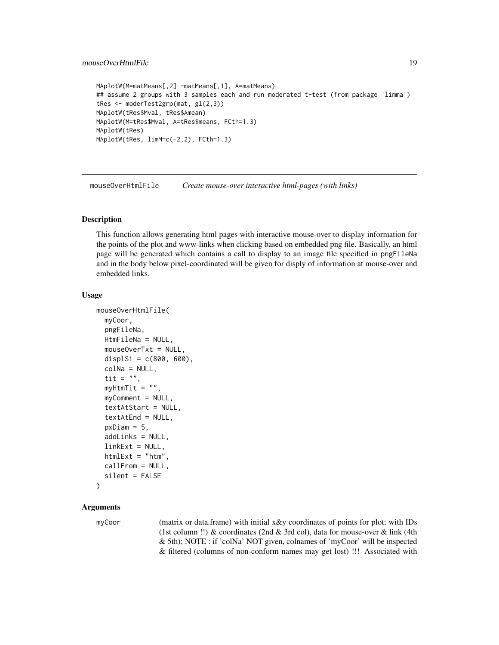#### <span id="page-18-0"></span>mouseOverHtmlFile 19

```
MAplotW(M=matMeans[,2] -matMeans[,1], A=matMeans)
## assume 2 groups with 3 samples each and run moderated t-test (from package 'limma')
tRes <- moderTest2grp(mat, gl(2,3))
MAplotW(tRes$Mval, tRes$Amean)
MAplotW(M=tRes$Mval, A=tRes$means, FCth=1.3)
MAplotW(tRes)
MAplotW(tRes, limM=c(-2,2), FCth=1.3)
```
<span id="page-18-1"></span>mouseOverHtmlFile *Create mouse-over interactive html-pages (with links)*

#### Description

This function allows generating html pages with interactive mouse-over to display information for the points of the plot and www-links when clicking based on embedded png file. Basically, an html page will be generated which contains a call to display to an image file specified in pngFileNa and in the body below pixel-coordinated will be given for disply of information at mouse-over and embedded links.

#### Usage

```
mouseOverHtmlFile(
  myCoor,
  pngFileNa,
 HtmFileNa = NULL,
  mouseOverTxt = NULL,
  displSi = c(800, 600),
  colNa = NULL,tit = ",
  myHtmTit = ",
  myComment = NULL,
  textAtStart = NULL,
  textAtEnd = NULL,
  pxDiam = 5,
  addLinks = NULL,
  linkExt = NULL,htmlExt = "html",callFrom = NULL,
  silent = FALSE
```

```
)
```
# Arguments

myCoor (matrix or data.frame) with initial x&y coordinates of points for plot; with IDs (1st column !!) & coordinates (2nd & 3rd col), data for mouse-over & link (4th & 5th); NOTE : if 'colNa' NOT given, colnames of 'myCoor' will be inspected & filtered (columns of non-conform names may get lost) !!! Associated with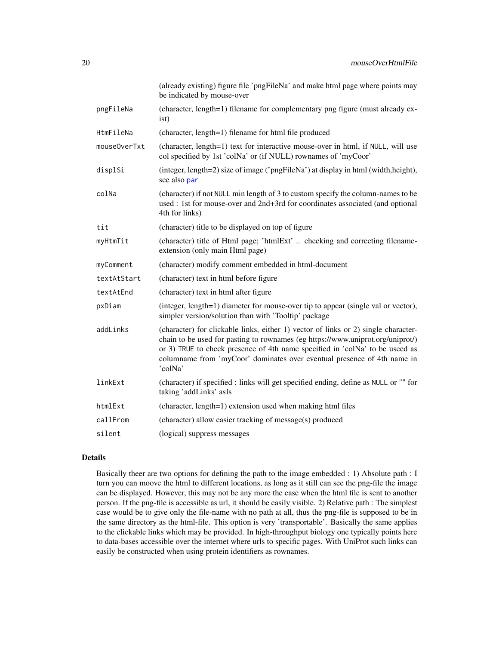<span id="page-19-0"></span>

|              | (already existing) figure file 'pngFileNa' and make html page where points may<br>be indicated by mouse-over                                                                                                                                                                                                                               |
|--------------|--------------------------------------------------------------------------------------------------------------------------------------------------------------------------------------------------------------------------------------------------------------------------------------------------------------------------------------------|
| pngFileNa    | (character, length=1) filename for complementary png figure (must already ex-<br>ist)                                                                                                                                                                                                                                                      |
| HtmFileNa    | (character, length=1) filename for html file produced                                                                                                                                                                                                                                                                                      |
| mouse0verTxt | (character, length=1) text for interactive mouse-over in html, if NULL, will use<br>col specified by 1st 'colNa' or (if NULL) rownames of 'myCoor'                                                                                                                                                                                         |
| displSi      | (integer, length=2) size of image ('pngFileNa') at display in html (width, height),<br>see also par                                                                                                                                                                                                                                        |
| colNa        | (character) if not NULL min length of 3 to custom specify the column-names to be<br>used : 1st for mouse-over and 2nd+3rd for coordinates associated (and optional<br>4th for links)                                                                                                                                                       |
| tit          | (character) title to be displayed on top of figure                                                                                                                                                                                                                                                                                         |
| myHtmTit     | (character) title of Html page; 'htmlExt'  checking and correcting filename-<br>extension (only main Html page)                                                                                                                                                                                                                            |
| myComment    | (character) modify comment embedded in html-document                                                                                                                                                                                                                                                                                       |
| textAtStart  | (character) text in html before figure                                                                                                                                                                                                                                                                                                     |
| textAtEnd    | (character) text in html after figure                                                                                                                                                                                                                                                                                                      |
| pxDiam       | (integer, length=1) diameter for mouse-over tip to appear (single val or vector),<br>simpler version/solution than with 'Tooltip' package                                                                                                                                                                                                  |
| addLinks     | (character) for clickable links, either 1) vector of links or 2) single character-<br>chain to be used for pasting to rownames (eg https://www.uniprot.org/uniprot/)<br>or 3) TRUE to check presence of 4th name specified in 'colNa' to be useed as<br>columname from 'myCoor' dominates over eventual presence of 4th name in<br>'colNa' |
| linkExt      | (character) if specified : links will get specified ending, define as NULL or "" for<br>taking 'addLinks' asIs                                                                                                                                                                                                                             |
| htmlExt      | (character, length=1) extension used when making html files                                                                                                                                                                                                                                                                                |
| callFrom     | (character) allow easier tracking of message(s) produced                                                                                                                                                                                                                                                                                   |
| silent       | (logical) suppress messages                                                                                                                                                                                                                                                                                                                |

## Details

Basically theer are two options for defining the path to the image embedded : 1) Absolute path : I turn you can moove the html to different locations, as long as it still can see the png-file the image can be displayed. However, this may not be any more the case when the html file is sent to another person. If the png-file is accessible as url, it should be easily visible. 2) Relative path : The simplest case would be to give only the file-name with no path at all, thus the png-file is supposed to be in the same directory as the html-file. This option is very 'transportable'. Basically the same applies to the clickable links which may be provided. In high-throughput biology one typically points here to data-bases accessible over the internet where urls to specific pages. With UniProt such links can easily be constructed when using protein identifiers as rownames.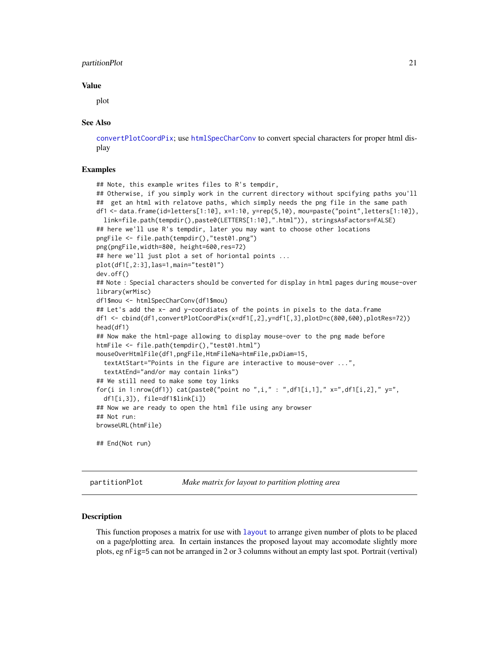#### <span id="page-20-0"></span>partitionPlot 21

#### Value

plot

#### See Also

[convertPlotCoordPix](#page-5-1); use [htmlSpecCharConv](#page-0-0) to convert special characters for proper html display

#### Examples

```
## Note, this example writes files to R's tempdir,
## Otherwise, if you simply work in the current directory without spcifying paths you'll
## get an html with relatove paths, which simply needs the png file in the same path
df1 <- data.frame(id=letters[1:10], x=1:10, y=rep(5,10), mou=paste("point",letters[1:10]),
 link=file.path(tempdir(),paste0(LETTERS[1:10],".html")), stringsAsFactors=FALSE)
## here we'll use R's tempdir, later you may want to choose other locations
pngFile <- file.path(tempdir(),"test01.png")
png(pngFile,width=800, height=600,res=72)
## here we'll just plot a set of horiontal points ...
plot(df1[,2:3],las=1,main="test01")
dev.off()
## Note : Special characters should be converted for display in html pages during mouse-over
library(wrMisc)
df1$mou <- htmlSpecCharConv(df1$mou)
## Let's add the x- and y-coordiates of the points in pixels to the data.frame
df1 <- cbind(df1,convertPlotCoordPix(x=df1[,2],y=df1[,3],plotD=c(800,600),plotRes=72))
head(df1)
## Now make the html-page allowing to display mouse-over to the png made before
htmFile <- file.path(tempdir(),"test01.html")
mouseOverHtmlFile(df1,pngFile,HtmFileNa=htmFile,pxDiam=15,
 textAtStart="Points in the figure are interactive to mouse-over ...",
 textAtEnd="and/or may contain links")
## We still need to make some toy links
for(i in 1:nrow(df1)) cat(paste0("point no ",i," : ",df1[i,1]," x=",df1[i,2]," y=",
 df1[i,3]), file=df1$link[i])
## Now we are ready to open the html file using any browser
## Not run:
browseURL(htmFile)
## End(Not run)
```
partitionPlot *Make matrix for layout to partition plotting area*

#### **Description**

This function proposes a matrix for use with [layout](#page-0-0) to arrange given number of plots to be placed on a page/plotting area. In certain instances the proposed layout may accomodate slightly more plots, eg nFig=5 can not be arranged in 2 or 3 columns without an empty last spot. Portrait (vertival)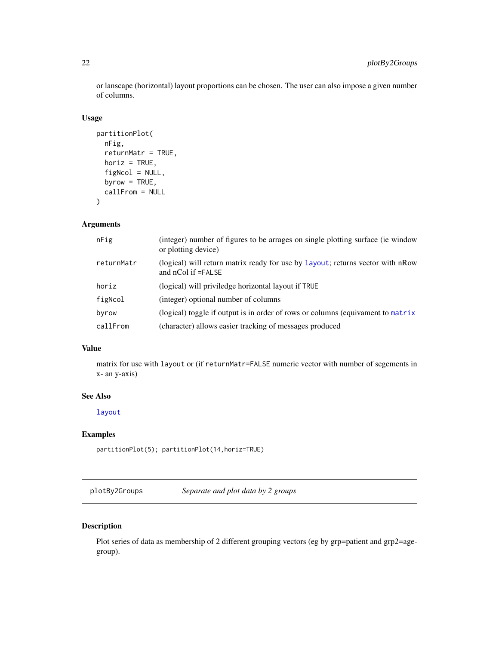<span id="page-21-0"></span>or lanscape (horizontal) layout proportions can be chosen. The user can also impose a given number of columns.

#### Usage

```
partitionPlot(
  nFig,
  returnMatr = TRUE,
  horiz = TRUE,
  figNcol = NULL,
  byrow = TRUE,
  callFrom = NULL
\mathcal{L}
```
# Arguments

| nFig       | (integer) number of figures to be arrages on single plotting surface (ie window<br>or plotting device)   |
|------------|----------------------------------------------------------------------------------------------------------|
| returnMatr | (logical) will return matrix ready for use by layout; returns vector with nRow<br>and $nCol$ if $=FALSE$ |
| horiz      | (logical) will priviledge horizontal layout if TRUE                                                      |
| figNcol    | (integer) optional number of columns                                                                     |
| byrow      | (logical) toggle if output is in order of rows or columns (equivament to matrix                          |
| callFrom   | (character) allows easier tracking of messages produced                                                  |

# Value

matrix for use with layout or (if returnMatr=FALSE numeric vector with number of segements in x- an y-axis)

# See Also

[layout](#page-0-0)

# Examples

partitionPlot(5); partitionPlot(14,horiz=TRUE)

plotBy2Groups *Separate and plot data by 2 groups*

# Description

Plot series of data as membership of 2 different grouping vectors (eg by grp=patient and grp2=agegroup).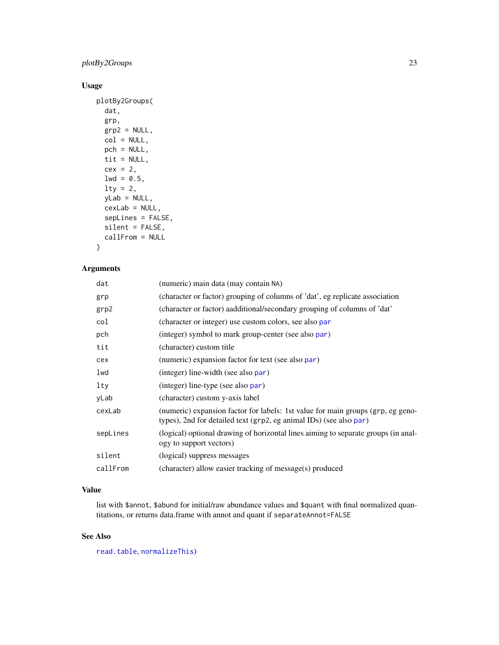# <span id="page-22-0"></span>plotBy2Groups 23

# Usage

```
plotBy2Groups(
 dat,
 grp,
 grp2 = NULL,col = NULL,pch = NULL,
 tit = NULL,
 cex = 2,
 1wd = 0.5,
 lty = 2,yLab = NULL,
 cexLab = NULL,sepLines = FALSE,
  silent = FALSE,
 callFrom = NULL
)
```
# Arguments

| dat      | (numeric) main data (may contain NA)                                                                                                                  |
|----------|-------------------------------------------------------------------------------------------------------------------------------------------------------|
| grp      | (character or factor) grouping of columns of 'dat', eg replicate association                                                                          |
| grp2     | (character or factor) aadditional/secondary grouping of columns of 'dat'                                                                              |
| col      | (character or integer) use custom colors, see also par                                                                                                |
| pch      | (integer) symbol to mark group-center (see also par)                                                                                                  |
| tit      | (character) custom title                                                                                                                              |
| cex      | (numeric) expansion factor for text (see also par)                                                                                                    |
| lwd      | (integer) line-width (see also par)                                                                                                                   |
| lty      | (integer) line-type (see also par)                                                                                                                    |
| yLab     | (character) custom y-axis label                                                                                                                       |
| cexLab   | (numeric) expansion factor for labels: 1st value for main groups (grp, eg geno-<br>types), 2nd for detailed text (grp2, eg animal IDs) (see also par) |
| sepLines | (logical) optional drawing of horizontal lines aiming to separate groups (in anal-<br>ogy to support vectors)                                         |
| silent   | (logical) suppress messages                                                                                                                           |
| callFrom | (character) allow easier tracking of message(s) produced                                                                                              |

# Value

list with \$annot, \$abund for initial/raw abundance values and \$quant with final normalized quantitations, or returns data.frame with annot and quant if separateAnnot=FALSE

# See Also

[read.table](#page-0-0), [normalizeThis](#page-0-0))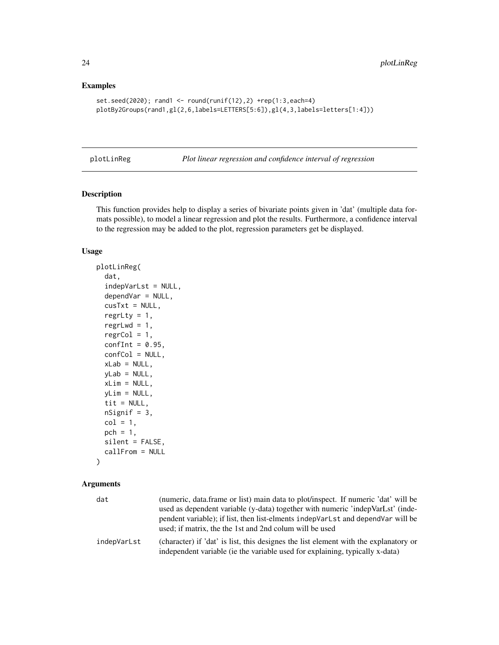# Examples

```
set.seed(2020); rand1 <- round(runif(12),2) +rep(1:3,each=4)
plotBy2Groups(rand1,gl(2,6,labels=LETTERS[5:6]),gl(4,3,labels=letters[1:4]))
```
plotLinReg *Plot linear regression and confidence interval of regression*

# Description

This function provides help to display a series of bivariate points given in 'dat' (multiple data formats possible), to model a linear regression and plot the results. Furthermore, a confidence interval to the regression may be added to the plot, regression parameters get be displayed.

#### Usage

```
plotLinReg(
  dat,
  indepVarLst = NULL,
  dependVar = NULL,
  cusTxt = NULL,regrLty = 1,
  regrLwd = 1,
  regrCol = 1,
  confInt = 0.95,
  confCol = NULL,
  xLab = NULL,yLab = NULL,
  xLim = NULL,
 yLim = NULL,
  tit = NULL,nSignif = 3,col = 1,
 pch = 1,
  silent = FALSE,
  callFrom = NULL
```
# )

| dat         | (numeric, data.frame or list) main data to plot/inspect. If numeric 'dat' will be<br>used as dependent variable (y-data) together with numeric 'indepVarLst' (inde-<br>pendent variable); if list, then list-elments indepVarLst and dependVar will be<br>used; if matrix, the the 1st and 2nd column will be used |
|-------------|--------------------------------------------------------------------------------------------------------------------------------------------------------------------------------------------------------------------------------------------------------------------------------------------------------------------|
| indepVarLst | (character) if 'dat' is list, this designes the list element with the explanatory or<br>independent variable (ie the variable used for explaining, typically x-data)                                                                                                                                               |

<span id="page-23-0"></span>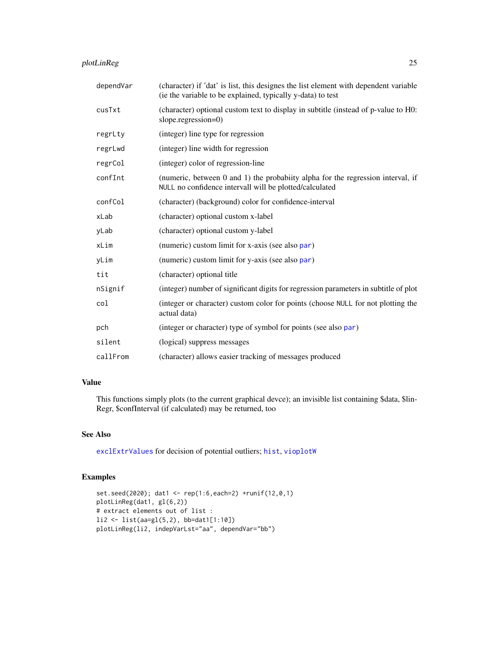# <span id="page-24-0"></span>plotLinReg 25

| dependVar | (character) if 'dat' is list, this designes the list element with dependent variable<br>(ie the variable to be explained, typically y-data) to test |
|-----------|-----------------------------------------------------------------------------------------------------------------------------------------------------|
| cusTxt    | (character) optional custom text to display in subtitle (instead of p-value to H0:<br>slope.regression=0)                                           |
| regrLty   | (integer) line type for regression                                                                                                                  |
| regrLwd   | (integer) line width for regression                                                                                                                 |
| regrCol   | (integer) color of regression-line                                                                                                                  |
| confInt   | (numeric, between 0 and 1) the probabiity alpha for the regression interval, if<br>NULL no confidence intervall will be plotted/calculated          |
| confCol   | (character) (background) color for confidence-interval                                                                                              |
| xLab      | (character) optional custom x-label                                                                                                                 |
| yLab      | (character) optional custom y-label                                                                                                                 |
| xLim      | (numeric) custom limit for x-axis (see also par)                                                                                                    |
| yLim      | (numeric) custom limit for y-axis (see also par)                                                                                                    |
| tit       | (character) optional title                                                                                                                          |
| nSignif   | (integer) number of significant digits for regression parameters in subtitle of plot                                                                |
| col       | (integer or character) custom color for points (choose NULL for not plotting the<br>actual data)                                                    |
| pch       | (integer or character) type of symbol for points (see also par)                                                                                     |
| silent    | (logical) suppress messages                                                                                                                         |
| callFrom  | (character) allows easier tracking of messages produced                                                                                             |

# Value

This functions simply plots (to the current graphical devce); an invisible list containing \$data, \$lin-Regr, \$confInterval (if calculated) may be returned, too

# See Also

[exclExtrValues](#page-0-0) for decision of potential outliers; [hist](#page-0-0), [vioplotW](#page-32-1)

### Examples

```
set.seed(2020); dat1 <- rep(1:6,each=2) +runif(12,0,1)
plotLinReg(dat1, gl(6,2))
# extract elements out of list :
li2 <- list(aa=gl(5,2), bb=dat1[1:10])
plotLinReg(li2, indepVarLst="aa", dependVar="bb")
```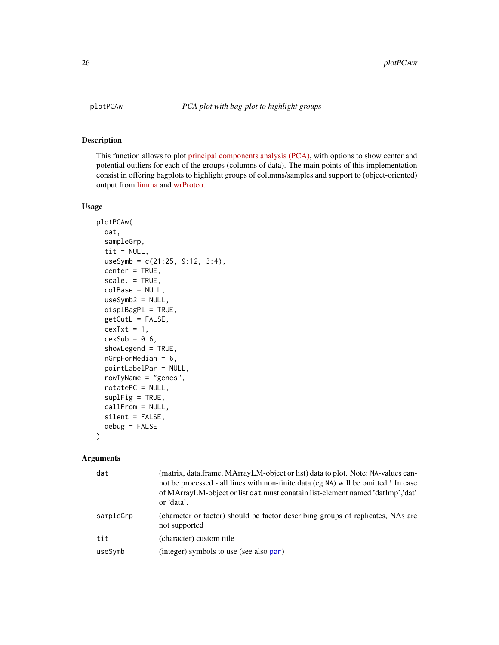# Description

This function allows to plot [principal components analysis \(PCA\),](https://en.wikipedia.org/wiki/Principal_component_analysis) with options to show center and potential outliers for each of the groups (columns of data). The main points of this implementation consist in offering bagplots to highlight groups of columns/samples and support to (object-oriented) output from [limma](https://bioconductor.org/packages/release/bioc/html/limma.html) and [wrProteo.](https://CRAN.R-project.org/package=wrProteo)

#### Usage

```
plotPCAw(
  dat,
  sampleGrp,
  tit = NULL,useSymb = c(21:25, 9:12, 3:4),
  center = TRUE,
  scale. = TRUE,
  colBase = NULL,
  useSymb2 = NULL,
  displBagPl = TRUE,
  getOutL = FALSE,
  cexTxt = 1,
  cexSub = 0.6,
  showLegend = TRUE,
  nGrpForMedian = 6,
 pointLabelPar = NULL,
  rowTyName = "genes",
  rotatePC = NULL,
  supIFig = TRUE,callFrom = NULL,
  silent = FALSE,
  debug = FALSE
)
```

| dat       | (matrix, data.frame, MArrayLM-object or list) data to plot. Note: NA-values can-<br>not be processed - all lines with non-finite data (eg NA) will be omitted ! In case<br>of MArrayLM-object or list dat must conatain list-element named 'datImp', 'dat'<br>or 'data'. |
|-----------|--------------------------------------------------------------------------------------------------------------------------------------------------------------------------------------------------------------------------------------------------------------------------|
| sampleGrp | (character or factor) should be factor describing groups of replicates, NAs are<br>not supported                                                                                                                                                                         |
| tit       | (character) custom title                                                                                                                                                                                                                                                 |
| useSymb   | (integer) symbols to use (see also par)                                                                                                                                                                                                                                  |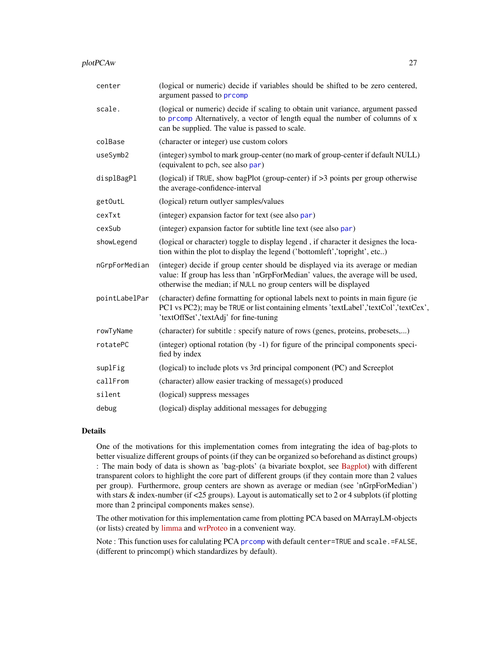<span id="page-26-0"></span>

| plotPCAw | רר |
|----------|----|
|          |    |

| center        | (logical or numeric) decide if variables should be shifted to be zero centered,<br>argument passed to prcomp                                                                                                                          |
|---------------|---------------------------------------------------------------------------------------------------------------------------------------------------------------------------------------------------------------------------------------|
| scale.        | (logical or numeric) decide if scaling to obtain unit variance, argument passed<br>to promp Alternatively, a vector of length equal the number of columns of x<br>can be supplied. The value is passed to scale.                      |
| colBase       | (character or integer) use custom colors                                                                                                                                                                                              |
| useSymb2      | (integer) symbol to mark group-center (no mark of group-center if default NULL)<br>(equivalent to pch, see also par)                                                                                                                  |
| displBagPl    | (logical) if TRUE, show bagPlot (group-center) if $>3$ points per group otherwise<br>the average-confidence-interval                                                                                                                  |
| getOutL       | (logical) return outlyer samples/values                                                                                                                                                                                               |
| cexTxt        | (integer) expansion factor for text (see also par)                                                                                                                                                                                    |
| cexSub        | (integer) expansion factor for subtitle line text (see also par)                                                                                                                                                                      |
| showLegend    | (logical or character) toggle to display legend, if character it designes the loca-<br>tion within the plot to display the legend ('bottomleft','topright', etc)                                                                      |
| nGrpForMedian | (integer) decide if group center should be displayed via its average or median<br>value: If group has less than 'nGrpForMedian' values, the average will be used,<br>otherwise the median; if NULL no group centers will be displayed |
| pointLabelPar | (character) define formatting for optional labels next to points in main figure (ie<br>PC1 vs PC2); may be TRUE or list containing elments 'textLabel','textCol','textCex',<br>'textOffSet','textAdj' for fine-tuning                 |
| rowTyName     | (character) for subtitle : specify nature of rows (genes, proteins, probesets,)                                                                                                                                                       |
| rotatePC      | (integer) optional rotation (by -1) for figure of the principal components speci-<br>fied by index                                                                                                                                    |
| suplFig       | (logical) to include plots vs 3rd principal component (PC) and Screeplot                                                                                                                                                              |
| callFrom      | (character) allow easier tracking of message(s) produced                                                                                                                                                                              |
| silent        | (logical) suppress messages                                                                                                                                                                                                           |
| debug         | (logical) display additional messages for debugging                                                                                                                                                                                   |

# Details

One of the motivations for this implementation comes from integrating the idea of bag-plots to better visualize different groups of points (if they can be organized so beforehand as distinct groups) : The main body of data is shown as 'bag-plots' (a bivariate boxplot, see [Bagplot\)](https://en.wikipedia.org/wiki/Bagplot) with different transparent colors to highlight the core part of different groups (if they contain more than 2 values per group). Furthermore, group centers are shown as average or median (see 'nGrpForMedian') with stars & index-number (if <25 groups). Layout is automatically set to 2 or 4 subplots (if plotting more than 2 principal components makes sense).

The other motivation for this implementation came from plotting PCA based on MArrayLM-objects (or lists) created by [limma](https://bioconductor.org/packages/release/bioc/html/limma.html) and [wrProteo](https://CRAN.R-project.org/package=wrProteo) in a convenient way.

Note : This function uses for calulating PCA [prcomp](#page-0-0) with default center=TRUE and scale.=FALSE, (different to princomp() which standardizes by default).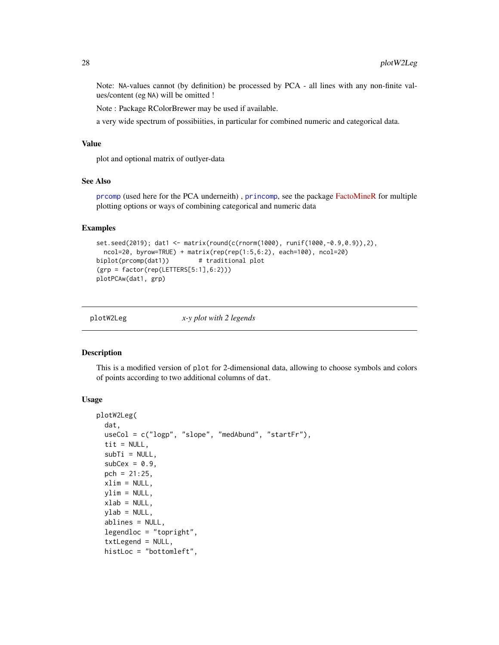Note: NA-values cannot (by definition) be processed by PCA - all lines with any non-finite values/content (eg NA) will be omitted !

Note : Package RColorBrewer may be used if available.

a very wide spectrum of possibiities, in particular for combined numeric and categorical data.

# Value

plot and optional matrix of outlyer-data

# See Also

[prcomp](#page-0-0) (used here for the PCA underneith) , [princomp](#page-0-0), see the package [FactoMineR](https://CRAN.R-project.org/package=FactoMineR) for multiple plotting options or ways of combining categorical and numeric data

# Examples

```
set.seed(2019); dat1 <- matrix(round(c(rnorm(1000), runif(1000,-0.9,0.9)),2),
 ncol=20, byrow=TRUE) + matrix(rep(rep(1:5,6:2), each=100), ncol=20)
biplot(prcomp(dat1)) # traditional plot
(grp = factor(rep(LETTERS[5:1],6:2)))
plotPCAw(dat1, grp)
```

| plotW2Leg | x-y plot with 2 legends |
|-----------|-------------------------|
|           |                         |

#### Description

This is a modified version of plot for 2-dimensional data, allowing to choose symbols and colors of points according to two additional columns of dat.

#### Usage

```
plotW2Leg(
  dat,
  useCol = c("logp", "slope", "medAbund", "startFr"),
  tit = NULL,subTi = NULL,subCex = 0.9,
  pch = 21:25,
  xlim = NULL,ylim = NULL,
  xlab = NULL,
 ylab = NULL,
  ablines = NULL,
  legendloc = "topright",
  txtLegend = NULL,
  histLoc = "bottomleft",
```
<span id="page-27-0"></span>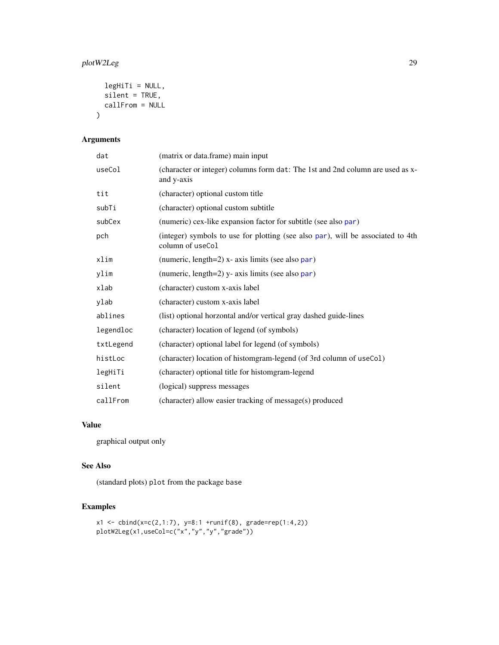# <span id="page-28-0"></span>plotW2Leg 29

```
legHiTi = NULL,silent = TRUE,
  callFrom = NULL
\mathcal{L}
```
# Arguments

| dat       | (matrix or data.frame) main input                                                                   |
|-----------|-----------------------------------------------------------------------------------------------------|
| useCol    | (character or integer) columns form dat: The 1st and 2nd column are used as x-<br>and y-axis        |
| tit       | (character) optional custom title                                                                   |
| subTi     | (character) optional custom subtitle                                                                |
| subCex    | (numeric) cex-like expansion factor for subtitle (see also par)                                     |
| pch       | (integer) symbols to use for plotting (see also par), will be associated to 4th<br>column of useCol |
| xlim      | (numeric, $length=2$ ) x- axis limits (see also par)                                                |
| ylim      | (numeric, length=2) y- axis limits (see also par)                                                   |
| xlab      | (character) custom x-axis label                                                                     |
| ylab      | (character) custom x-axis label                                                                     |
| ablines   | (list) optional horzontal and/or vertical gray dashed guide-lines                                   |
| legendloc | (character) location of legend (of symbols)                                                         |
| txtLegend | (character) optional label for legend (of symbols)                                                  |
| histLoc   | (character) location of histomgram-legend (of 3rd column of useCol)                                 |
| legHiTi   | (character) optional title for histomgram-legend                                                    |
| silent    | (logical) suppress messages                                                                         |
| callFrom  | (character) allow easier tracking of message(s) produced                                            |

#### Value

graphical output only

# See Also

(standard plots) plot from the package base

# Examples

```
x1 \le - \text{cbind}(x = c(2, 1:7), y = 8:1 + \text{runif}(8), \text{grade} = \text{rep}(1:4, 2))plotW2Leg(x1,useCol=c("x","y","y","grade"))
```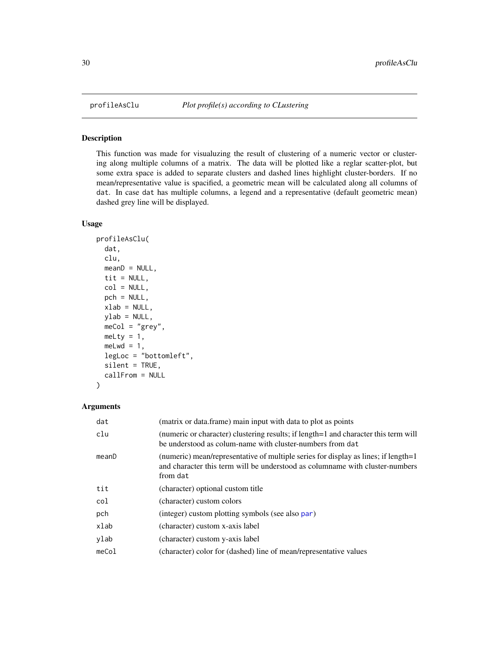<span id="page-29-0"></span>

# Description

This function was made for visualuzing the result of clustering of a numeric vector or clustering along multiple columns of a matrix. The data will be plotted like a reglar scatter-plot, but some extra space is added to separate clusters and dashed lines highlight cluster-borders. If no mean/representative value is spacified, a geometric mean will be calculated along all columns of dat. In case dat has multiple columns, a legend and a representative (default geometric mean) dashed grey line will be displayed.

#### Usage

```
profileAsClu(
  dat,
  clu,
  meanD = NULL,tit = NULL,col = NULL,pch = NULL,
  xlab = NULL,
  ylab = NULL,
  meCol = "grey",
  mely = 1,melwd = 1,
  legLoc = "bottomleft",
  silent = TRUE,
  callFrom = NULL
)
```

| (matrix or data.frame) main input with data to plot as points                                                                                                                  |
|--------------------------------------------------------------------------------------------------------------------------------------------------------------------------------|
| (numeric or character) clustering results; if length=1 and character this term will<br>be understood as colum-name with cluster-numbers from dat                               |
| (numeric) mean/representative of multiple series for display as lines; if length=1<br>and character this term will be understood as columname with cluster-numbers<br>from dat |
| (character) optional custom title                                                                                                                                              |
| (character) custom colors                                                                                                                                                      |
| (integer) custom plotting symbols (see also par)                                                                                                                               |
| (character) custom x-axis label                                                                                                                                                |
| (character) custom y-axis label                                                                                                                                                |
| (character) color for (dashed) line of mean/representative values                                                                                                              |
|                                                                                                                                                                                |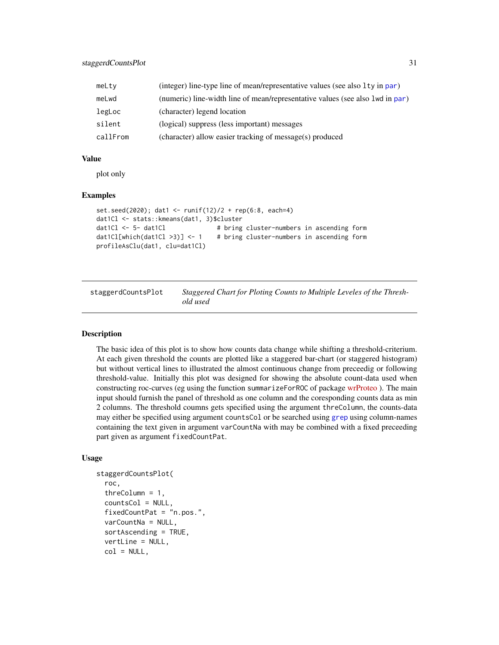<span id="page-30-0"></span>

| meLty    | (integer) line-type line of mean/representative values (see also 1ty in par)   |
|----------|--------------------------------------------------------------------------------|
| meLwd    | (numeric) line-width line of mean/representative values (see also 1 wd in par) |
| legLoc   | (character) legend location                                                    |
| silent   | (logical) suppress (less important) messages                                   |
| callFrom | (character) allow easier tracking of message(s) produced                       |

#### Value

plot only

#### Examples

```
set.seed(2020); dat1 <- runif(12)/2 + rep(6:8, each=4)
dat1Cl <- stats::kmeans(dat1, 3)$cluster
dat1Cl <- 5- dat1Cl \# bring cluster-numbers in ascending form
dat1Cl[which(dat1Cl >3)] <- 1 # bring cluster-numbers in ascending form
profileAsClu(dat1, clu=dat1Cl)
```
staggerdCountsPlot *Staggered Chart for Ploting Counts to Multiple Leveles of the Threshold used*

#### Description

The basic idea of this plot is to show how counts data change while shifting a threshold-criterium. At each given threshold the counts are plotted like a staggered bar-chart (or staggered histogram) but without vertical lines to illustrated the almost continuous change from preceedig or following threshold-value. Initially this plot was designed for showing the absolute count-data used when constructing roc-curves (eg using the function summarizeForROC of package [wrProteo](https://CRAN.R-project.org/package=wrProteo)). The main input should furnish the panel of threshold as one column and the coresponding counts data as min 2 columns. The threshold coumns gets specified using the argument threColumn, the counts-data may either be specified using argument countsCol or be searched using [grep](#page-0-0) using column-names containing the text given in argument varCountNa with may be combined with a fixed preceeding part given as argument fixedCountPat.

# Usage

```
staggerdCountsPlot(
  roc,
  threColumn = 1,
  countsCol = NULL,
  fixedCountPat = "n.pos.",
  varCountNa = NULL,
  sortAscending = TRUE,
  vertLine = NULL,
  col = NULL,
```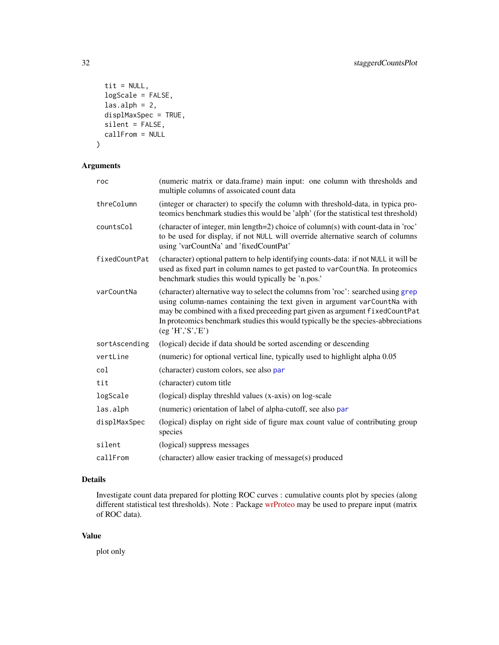```
tit = NULL,
 logScale = FALSE,
 \text{las.alph} = 2,
 displMaxSpec = TRUE,
  silent = FALSE,
 callFrom = NULL
)
```
# Arguments

| roc           | (numeric matrix or data.frame) main input: one column with thresholds and<br>multiple columns of assoicated count data                                                                                                                                                                                                                              |
|---------------|-----------------------------------------------------------------------------------------------------------------------------------------------------------------------------------------------------------------------------------------------------------------------------------------------------------------------------------------------------|
| threColumn    | (integer or character) to specify the column with threshold-data, in typica pro-<br>teomics benchmark studies this would be 'alph' (for the statistical test threshold)                                                                                                                                                                             |
| countsCol     | (character of integer, min length=2) choice of column(s) with count-data in 'roc'<br>to be used for display, if not NULL will override alternative search of columns<br>using 'varCountNa' and 'fixedCountPat'                                                                                                                                      |
| fixedCountPat | (character) optional pattern to help identifying counts-data: if not NULL it will be<br>used as fixed part in column names to get pasted to varCountNa. In proteomics<br>benchmark studies this would typically be 'n.pos.'                                                                                                                         |
| varCountNa    | (character) alternative way to select the columns from 'roc': searched using grep<br>using column-names containing the text given in argument varCountNa with<br>may be combined with a fixed preceeding part given as argument fixedCountPat<br>In proteomics benchmark studies this would typically be the species-abbreciations<br>(eg'H';S';E') |
| sortAscending | (logical) decide if data should be sorted ascending or descending                                                                                                                                                                                                                                                                                   |
| vertLine      | (numeric) for optional vertical line, typically used to highlight alpha 0.05                                                                                                                                                                                                                                                                        |
| col           | (character) custom colors, see also par                                                                                                                                                                                                                                                                                                             |
| tit           | (character) cutom title                                                                                                                                                                                                                                                                                                                             |
| logScale      | (logical) display threshid values (x-axis) on log-scale                                                                                                                                                                                                                                                                                             |
| las.alph      | (numeric) orientation of label of alpha-cutoff, see also par                                                                                                                                                                                                                                                                                        |
| displMaxSpec  | (logical) display on right side of figure max count value of contributing group<br>species                                                                                                                                                                                                                                                          |
| silent        | (logical) suppress messages                                                                                                                                                                                                                                                                                                                         |
| callFrom      | (character) allow easier tracking of message(s) produced                                                                                                                                                                                                                                                                                            |

# Details

Investigate count data prepared for plotting ROC curves : cumulative counts plot by species (along different statistical test thresholds). Note : Package [wrProteo](https://CRAN.R-project.org/package=wrProteo) may be used to prepare input (matrix of ROC data).

#### Value

plot only

<span id="page-31-0"></span>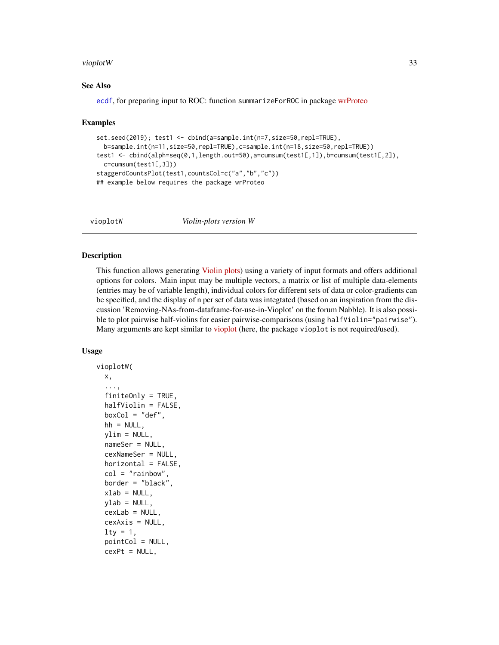#### <span id="page-32-0"></span>vioplot W 33

#### See Also

[ecdf](#page-0-0), for preparing input to ROC: function summarizeForROC in package [wrProteo](https://CRAN.R-project.org/package=wrProteo)

#### Examples

```
set.seed(2019); test1 <- cbind(a=sample.int(n=7,size=50,repl=TRUE),
 b=sample.int(n=11,size=50,repl=TRUE),c=sample.int(n=18,size=50,repl=TRUE))
test1 <- cbind(alph=seq(0,1,length.out=50),a=cumsum(test1[,1]),b=cumsum(test1[,2]),
 c=cumsum(test1[,3]))
staggerdCountsPlot(test1,countsCol=c("a","b","c"))
## example below requires the package wrProteo
```
<span id="page-32-1"></span>

vioplotW *Violin-plots version W*

#### Description

This function allows generating [Violin plots\)](https://en.wikipedia.org/wiki/Violin_plot) using a variety of input formats and offers additional options for colors. Main input may be multiple vectors, a matrix or list of multiple data-elements (entries may be of variable length), individual colors for different sets of data or color-gradients can be specified, and the display of n per set of data was integtated (based on an inspiration from the discussion 'Removing-NAs-from-dataframe-for-use-in-Vioplot' on the forum Nabble). It is also possible to plot pairwise half-violins for easier pairwise-comparisons (using halfViolin="pairwise"). Many arguments are kept similar to [vioplot](https://CRAN.R-project.org/package=vioplot) (here, the package vioplot is not required/used).

#### Usage

```
vioplotW(
  x,
  ...,
  finiteOnly = TRUE,
  halfViolin = FALSE,
 boxCol = "def",hh = NULL,ylim = NULL,
  nameSer = NULL,
  cexNameSer = NULL,
  horizontal = FALSE,col = "rainbow",border = "black",
  xlab = NULL,vlab = NULL,
  cexLab = NULL,cexAxis = NULL,
  lty = 1,pointCol = NULL,
  cexPt = NULL,
```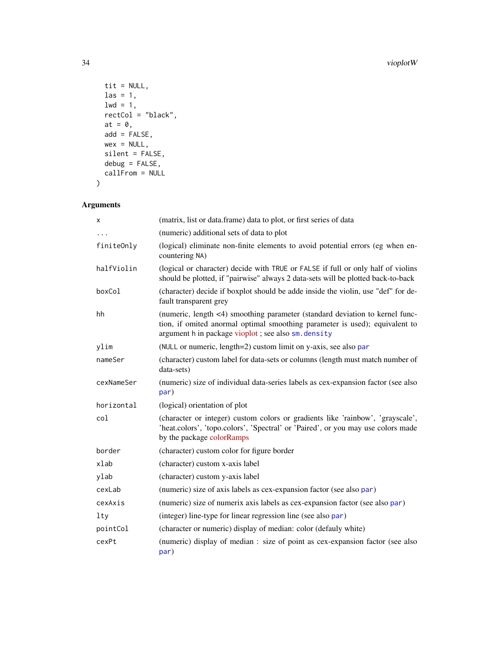#### 34 vioplotW

```
tit = NULL,
  \text{las} = 1,
 1wd = 1,rectCol = "black",at = \theta,
 add = FALSE,wex = NULL,silent = FALSE,
  debug = FALSE,
  callFrom = NULL
\lambda
```

| X          | (matrix, list or data.frame) data to plot, or first series of data                                                                                                                                                 |
|------------|--------------------------------------------------------------------------------------------------------------------------------------------------------------------------------------------------------------------|
|            | (numeric) additional sets of data to plot                                                                                                                                                                          |
| finiteOnly | (logical) eliminate non-finite elements to avoid potential errors (eg when en-<br>countering NA)                                                                                                                   |
| halfViolin | (logical or character) decide with TRUE or FALSE if full or only half of violins<br>should be plotted, if "pairwise" always 2 data-sets will be plotted back-to-back                                               |
| boxCol     | (character) decide if boxplot should be adde inside the violin, use "def" for de-<br>fault transparent grey                                                                                                        |
| hh         | (numeric, length <4) smoothing parameter (standard deviation to kernel func-<br>tion, if omited anormal optimal smoothing parameter is used); equivalent to<br>argument h in package vioplot; see also sm. density |
| ylim       | (NULL or numeric, length=2) custom limit on y-axis, see also par                                                                                                                                                   |
| nameSer    | (character) custom label for data-sets or columns (length must match number of<br>data-sets)                                                                                                                       |
| cexNameSer | (numeric) size of individual data-series labels as cex-expansion factor (see also<br>par)                                                                                                                          |
| horizontal | (logical) orientation of plot                                                                                                                                                                                      |
| col        | (character or integer) custom colors or gradients like 'rainbow', 'grayscale',<br>'heat.colors', 'topo.colors', 'Spectral' or 'Paired', or you may use colors made<br>by the package colorRamps                    |
| border     | (character) custom color for figure border                                                                                                                                                                         |
| xlab       | (character) custom x-axis label                                                                                                                                                                                    |
| ylab       | (character) custom y-axis label                                                                                                                                                                                    |
| cexLab     | (numeric) size of axis labels as cex-expansion factor (see also par)                                                                                                                                               |
| cexAxis    | (numeric) size of numerix axis labels as cex-expansion factor (see also par)                                                                                                                                       |
| lty        | (integer) line-type for linear regression line (see also par)                                                                                                                                                      |
| pointCol   | (character or numeric) display of median: color (defauly white)                                                                                                                                                    |
| cexPt      | (numeric) display of median : size of point as cex-expansion factor (see also<br>par)                                                                                                                              |

<span id="page-33-0"></span>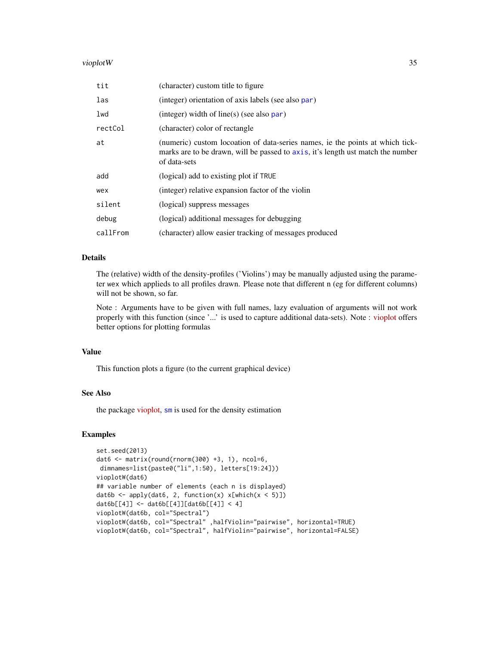#### <span id="page-34-0"></span>vioplot W 35

| tit      | (character) custom title to figure                                                                                                                                               |
|----------|----------------------------------------------------------------------------------------------------------------------------------------------------------------------------------|
| las      | (integer) orientation of axis labels (see also par)                                                                                                                              |
| lwd      | $(integer)$ width of line(s) (see also par)                                                                                                                                      |
| rectCol  | (character) color of rectangle                                                                                                                                                   |
| at       | (numeric) custom locoation of data-series names, ie the points at which tick-<br>marks are to be drawn, will be passed to axis, it's length ust match the number<br>of data-sets |
| add      | (logical) add to existing plot if TRUE                                                                                                                                           |
| wex      | (integer) relative expansion factor of the violin                                                                                                                                |
| silent   | (logical) suppress messages                                                                                                                                                      |
| debug    | (logical) additional messages for debugging                                                                                                                                      |
| callFrom | (character) allow easier tracking of messages produced                                                                                                                           |

#### Details

The (relative) width of the density-profiles ('Violins') may be manually adjusted using the parameter wex which applieds to all profiles drawn. Please note that different n (eg for different columns) will not be shown, so far.

Note : Arguments have to be given with full names, lazy evaluation of arguments will not work properly with this function (since '...' is used to capture additional data-sets). Note : [vioplot](https://CRAN.R-project.org/package=vioplot) offers better options for plotting formulas

#### Value

This function plots a figure (to the current graphical device)

#### See Also

the package [vioplot,](https://CRAN.R-project.org/package=vioplot) [sm](#page-0-0) is used for the density estimation

# Examples

```
set.seed(2013)
dat6 \le matrix(round(rnorm(300) +3, 1), ncol=6,
dimnames=list(paste0("li",1:50), letters[19:24]))
vioplotW(dat6)
## variable number of elements (each n is displayed)
dat6b <- apply(dat6, 2, function(x) x[which(x < 5)])
dat6b[[4]] <- dat6b[[4]][dat6b[[4]] < 4]
vioplotW(dat6b, col="Spectral")
vioplotW(dat6b, col="Spectral" ,halfViolin="pairwise", horizontal=TRUE)
vioplotW(dat6b, col="Spectral", halfViolin="pairwise", horizontal=FALSE)
```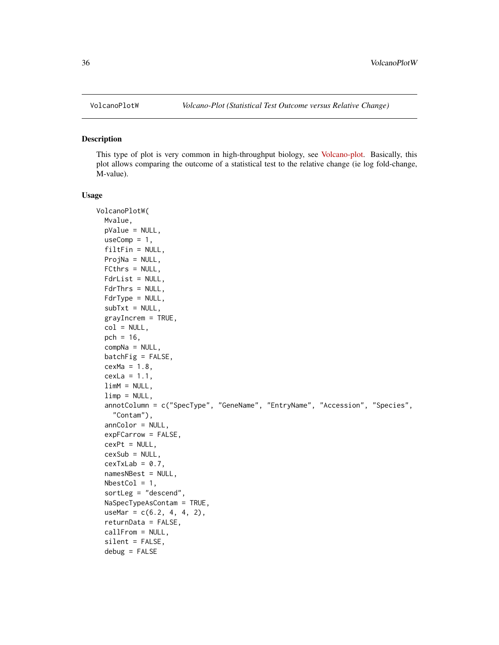#### Description

This type of plot is very common in high-throughput biology, see [Volcano-plot.](https://en.wikipedia.org/wiki/Volcano_plot_(statistics)) Basically, this plot allows comparing the outcome of a statistical test to the relative change (ie log fold-change, M-value).

#### Usage

```
VolcanoPlotW(
 Mvalue,
 pValue = NULL,
 useComp = 1,filtFin = NULL,
 ProjNa = NULL,
  FCthrs = NULL,
  FdrList = NULL,
  FdrThrs = NULL,
  FdrType = NULL,subTxt = NULL,grayIncrem = TRUE,
  col = NULL,pch = 16,
  compNa = NULL,
  batchFig = FALSE,cexMa = 1.8,
  cexLa = 1.1,limM = NULL,limp = NULL,annotColumn = c("SpecType", "GeneName", "EntryName", "Accession", "Species",
    "Contam"),
  annColor = NULL,
  expFCarrow = FALSE,
  cexPt = NULL,cexSub = NULL,cexTxLab = 0.7,
  namesNBest = NULL,
 NbestCol = 1,
  sortLeg = "descend",
  NaSpecTypeAsContam = TRUE,
  useMar = c(6.2, 4, 4, 2),
  returnData = FALSE,
  callFrom = NULL,
  silent = FALSE,
  debug = FALSE
```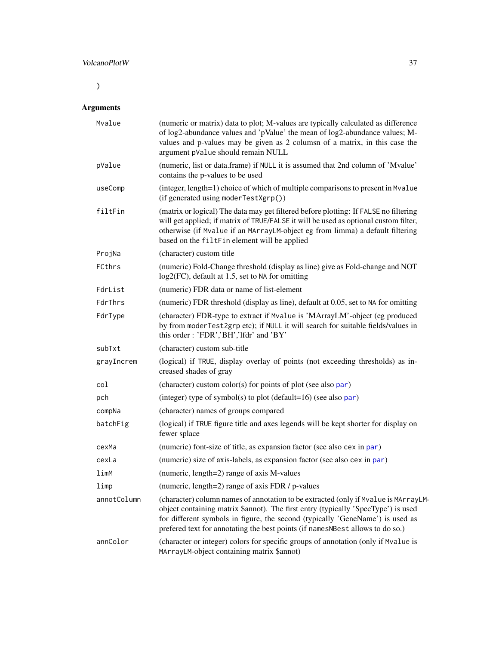# <span id="page-36-0"></span>VolcanoPlotW 37

 $\overline{)}$ 

| Mvalue      | (numeric or matrix) data to plot; M-values are typically calculated as difference<br>of log2-abundance values and 'pValue' the mean of log2-abundance values; M-<br>values and p-values may be given as 2 columsn of a matrix, in this case the<br>argument pValue should remain NULL                                                      |
|-------------|--------------------------------------------------------------------------------------------------------------------------------------------------------------------------------------------------------------------------------------------------------------------------------------------------------------------------------------------|
| pValue      | (numeric, list or data.frame) if NULL it is assumed that 2nd column of 'Mvalue'<br>contains the p-values to be used                                                                                                                                                                                                                        |
| useComp     | (integer, length=1) choice of which of multiple comparisons to present in Mvalue<br>(if generated using moderTestXgrp())                                                                                                                                                                                                                   |
| filtFin     | (matrix or logical) The data may get filtered before plotting: If FALSE no filtering<br>will get applied; if matrix of TRUE/FALSE it will be used as optional custom filter,<br>otherwise (if Mvalue if an MArrayLM-object eg from limma) a default filtering<br>based on the filtFin element will be applied                              |
| ProjNa      | (character) custom title                                                                                                                                                                                                                                                                                                                   |
| FCthrs      | (numeric) Fold-Change threshold (display as line) give as Fold-change and NOT<br>log2(FC), default at 1.5, set to NA for omitting                                                                                                                                                                                                          |
| FdrList     | (numeric) FDR data or name of list-element                                                                                                                                                                                                                                                                                                 |
| FdrThrs     | (numeric) FDR threshold (display as line), default at 0.05, set to NA for omitting                                                                                                                                                                                                                                                         |
| FdrType     | (character) FDR-type to extract if Mvalue is 'MArrayLM'-object (eg produced<br>by from moderTest2grp etc); if NULL it will search for suitable fields/values in<br>this order: 'FDR','BH','lfdr' and 'BY'                                                                                                                                  |
| subTxt      | (character) custom sub-title                                                                                                                                                                                                                                                                                                               |
| grayIncrem  | (logical) if TRUE, display overlay of points (not exceeding thresholds) as in-<br>creased shades of gray                                                                                                                                                                                                                                   |
| col         | (character) custom color(s) for points of plot (see also par)                                                                                                                                                                                                                                                                              |
| pch         | (integer) type of symbol(s) to plot (default= $16$ ) (see also par)                                                                                                                                                                                                                                                                        |
| compNa      | (character) names of groups compared                                                                                                                                                                                                                                                                                                       |
| batchFig    | (logical) if TRUE figure title and axes legends will be kept shorter for display on<br>fewer splace                                                                                                                                                                                                                                        |
| cexMa       | (numeric) font-size of title, as expansion factor (see also cex in par)                                                                                                                                                                                                                                                                    |
| cexLa       | (numeric) size of axis-labels, as expansion factor (see also cex in par)                                                                                                                                                                                                                                                                   |
| limM        | (numeric, length=2) range of axis M-values                                                                                                                                                                                                                                                                                                 |
| limp        | (numeric, length=2) range of axis FDR / p-values                                                                                                                                                                                                                                                                                           |
| annotColumn | (character) column names of annotation to be extracted (only if Mvalue is MArrayLM-<br>object containing matrix \$annot). The first entry (typically 'SpecType') is used<br>for different symbols in figure, the second (typically 'GeneName') is used as<br>prefered text for annotating the best points (if namesNBest allows to do so.) |
| annColor    | (character or integer) colors for specific groups of annotation (only if Mvalue is<br>MArrayLM-object containing matrix \$annot)                                                                                                                                                                                                           |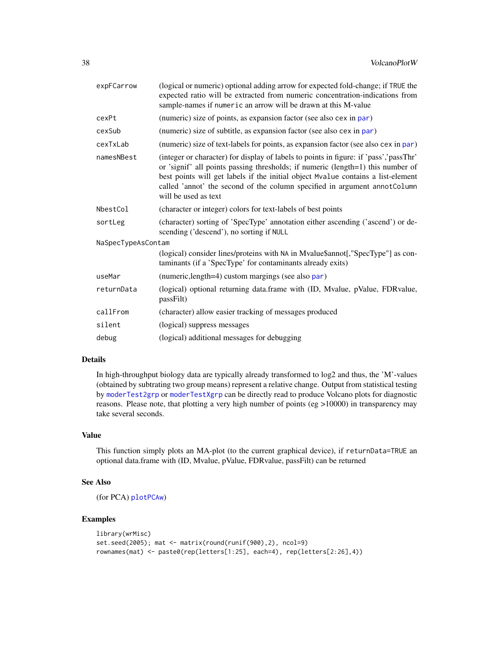<span id="page-37-0"></span>

| expFCarrow         | (logical or numeric) optional adding arrow for expected fold-change; if TRUE the<br>expected ratio will be extracted from numeric concentration-indications from<br>sample-names if numeric an arrow will be drawn at this M-value                                                                                                                                 |
|--------------------|--------------------------------------------------------------------------------------------------------------------------------------------------------------------------------------------------------------------------------------------------------------------------------------------------------------------------------------------------------------------|
| cexPt              | (numeric) size of points, as expansion factor (see also cex in par)                                                                                                                                                                                                                                                                                                |
| cexSub             | (numeric) size of subtitle, as expansion factor (see also cex in par)                                                                                                                                                                                                                                                                                              |
| cexTxLab           | (numeric) size of text-labels for points, as expansion factor (see also cex in par)                                                                                                                                                                                                                                                                                |
| namesNBest         | (integer or character) for display of labels to points in figure: if 'pass','passThr'<br>or 'signif' all points passing thresholds; if numeric (length=1) this number of<br>best points will get labels if the initial object Mvalue contains a list-element<br>called 'annot' the second of the column specified in argument annot Column<br>will be used as text |
| NbestCol           | (character or integer) colors for text-labels of best points                                                                                                                                                                                                                                                                                                       |
| sortLeg            | (character) sorting of 'SpecType' annotation either ascending ('ascend') or de-<br>scending ('descend'), no sorting if NULL                                                                                                                                                                                                                                        |
| NaSpecTypeAsContam |                                                                                                                                                                                                                                                                                                                                                                    |
|                    | (logical) consider lines/proteins with NA in Mvalue\$annot[,"SpecType"] as con-<br>taminants (if a 'SpecType' for contaminants already exits)                                                                                                                                                                                                                      |
| useMar             | (numeric, length=4) custom margings (see also par)                                                                                                                                                                                                                                                                                                                 |
| returnData         | (logical) optional returning data.frame with (ID, Mvalue, pValue, FDRvalue,<br>passFilt)                                                                                                                                                                                                                                                                           |
| callFrom           | (character) allow easier tracking of messages produced                                                                                                                                                                                                                                                                                                             |
| silent             | (logical) suppress messages                                                                                                                                                                                                                                                                                                                                        |
| debug              | (logical) additional messages for debugging                                                                                                                                                                                                                                                                                                                        |
|                    |                                                                                                                                                                                                                                                                                                                                                                    |

# Details

In high-throughput biology data are typically already transformed to log2 and thus, the 'M'-values (obtained by subtrating two group means) represent a relative change. Output from statistical testing by [moderTest2grp](#page-0-0) or [moderTestXgrp](#page-0-0) can be directly read to produce Volcano plots for diagnostic reasons. Please note, that plotting a very high number of points (eg >10000) in transparency may take several seconds.

# Value

This function simply plots an MA-plot (to the current graphical device), if returnData=TRUE an optional data.frame with (ID, Mvalue, pValue, FDRvalue, passFilt) can be returned

#### See Also

```
(for PCA) plotPCAw)
```
# Examples

```
library(wrMisc)
set.seed(2005); mat <- matrix(round(runif(900),2), ncol=9)
rownames(mat) <- paste0(rep(letters[1:25], each=4), rep(letters[2:26],4))
```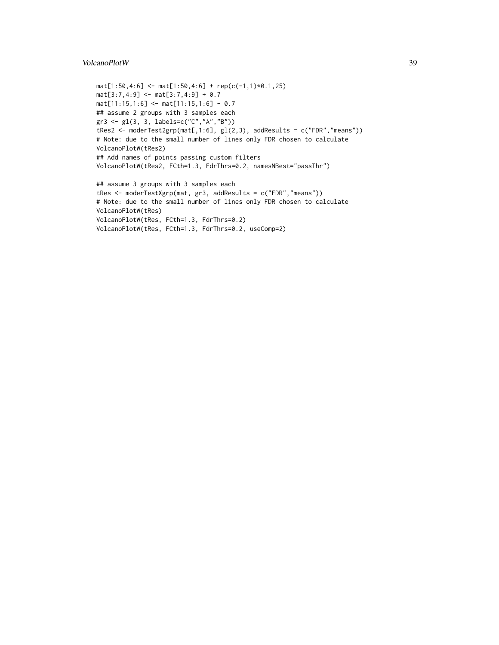#### VolcanoPlotW 39

```
mat[1:50, 4:6] \leftarrow mat[1:50, 4:6] + rep(c(-1,1)*0.1, 25)mat[3:7,4:9] <- mat[3:7,4:9] + 0.7
mat[11:15,1:6] <- mat[11:15,1:6] - 0.7
## assume 2 groups with 3 samples each
gr3 <- gl(3, 3, labels=c("C","A","B"))
tRes2 <- moderTest2grp(mat[,1:6], gl(2,3), addResults = c("FDR","means"))
# Note: due to the small number of lines only FDR chosen to calculate
VolcanoPlotW(tRes2)
## Add names of points passing custom filters
VolcanoPlotW(tRes2, FCth=1.3, FdrThrs=0.2, namesNBest="passThr")
## assume 3 groups with 3 samples each
tRes <- moderTestXgrp(mat, gr3, addResults = c("FDR","means"))
```

```
# Note: due to the small number of lines only FDR chosen to calculate
VolcanoPlotW(tRes)
VolcanoPlotW(tRes, FCth=1.3, FdrThrs=0.2)
VolcanoPlotW(tRes, FCth=1.3, FdrThrs=0.2, useComp=2)
```